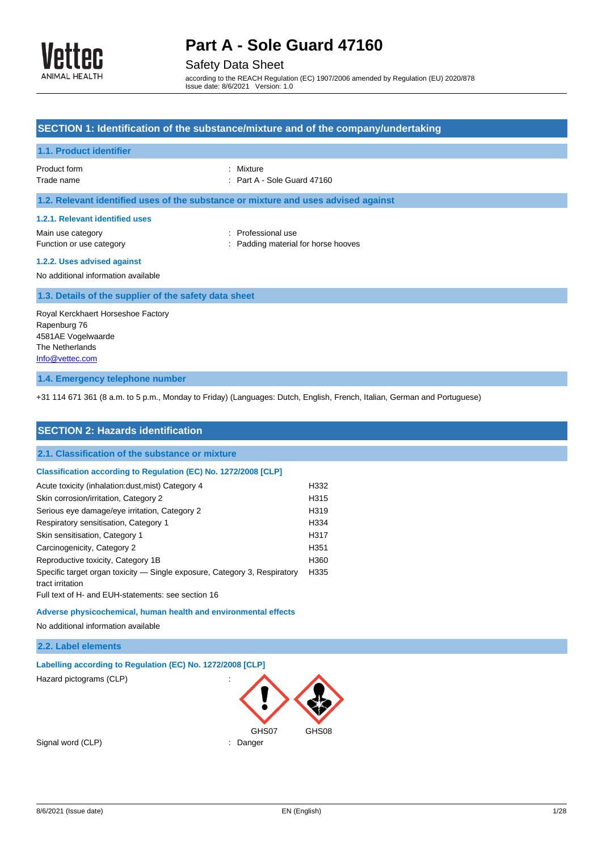

## Safety Data Sheet

according to the REACH Regulation (EC) 1907/2006 amended by Regulation (EU) 2020/878 Issue date: 8/6/2021 Version: 1.0

|                                                                                                                                                     | SECTION 1: Identification of the substance/mixture and of the company/undertaking                                        |
|-----------------------------------------------------------------------------------------------------------------------------------------------------|--------------------------------------------------------------------------------------------------------------------------|
| 1.1. Product identifier                                                                                                                             |                                                                                                                          |
| Product form<br>Trade name                                                                                                                          | Mixture<br>Part A - Sole Guard 47160                                                                                     |
| 1.2. Relevant identified uses of the substance or mixture and uses advised against                                                                  |                                                                                                                          |
| 1.2.1. Relevant identified uses                                                                                                                     |                                                                                                                          |
| Main use category<br>Function or use category                                                                                                       | Professional use<br>Padding material for horse hooves                                                                    |
| 1.2.2. Uses advised against<br>No additional information available                                                                                  |                                                                                                                          |
| 1.3. Details of the supplier of the safety data sheet                                                                                               |                                                                                                                          |
| Royal Kerckhaert Horseshoe Factory<br>Rapenburg 76<br>4581AE Vogelwaarde<br>The Netherlands<br>Info@vettec.com                                      |                                                                                                                          |
| 1.4. Emergency telephone number                                                                                                                     |                                                                                                                          |
|                                                                                                                                                     | +31 114 671 361 (8 a.m. to 5 p.m., Monday to Friday) (Languages: Dutch, English, French, Italian, German and Portuguese) |
|                                                                                                                                                     |                                                                                                                          |
| <b>SECTION 2: Hazards identification</b>                                                                                                            |                                                                                                                          |
| 2.1. Classification of the substance or mixture                                                                                                     |                                                                                                                          |
| Classification according to Regulation (EC) No. 1272/2008 [CLP]                                                                                     |                                                                                                                          |
| Acute toxicity (inhalation:dust, mist) Category 4                                                                                                   | H332                                                                                                                     |
| Skin corrosion/irritation, Category 2                                                                                                               | H315<br>H319                                                                                                             |
| Serious eye damage/eye irritation, Category 2<br>Respiratory sensitisation, Category 1                                                              | H334                                                                                                                     |
| Skin sensitisation, Category 1                                                                                                                      | H317                                                                                                                     |
| Carcinogenicity, Category 2                                                                                                                         | H <sub>351</sub>                                                                                                         |
| Reproductive toxicity, Category 1B                                                                                                                  | H360                                                                                                                     |
| Specific target organ toxicity - Single exposure, Category 3, Respiratory<br>tract irritation<br>Full text of H- and EUH-statements: see section 16 | H335                                                                                                                     |
| Adverse physicochemical, human health and environmental effects                                                                                     |                                                                                                                          |
| No additional information available                                                                                                                 |                                                                                                                          |
| 2.2. Label elements                                                                                                                                 |                                                                                                                          |
| Labelling according to Regulation (EC) No. 1272/2008 [CLP]                                                                                          |                                                                                                                          |
| Hazard pictograms (CLP)                                                                                                                             |                                                                                                                          |
|                                                                                                                                                     | GHS08                                                                                                                    |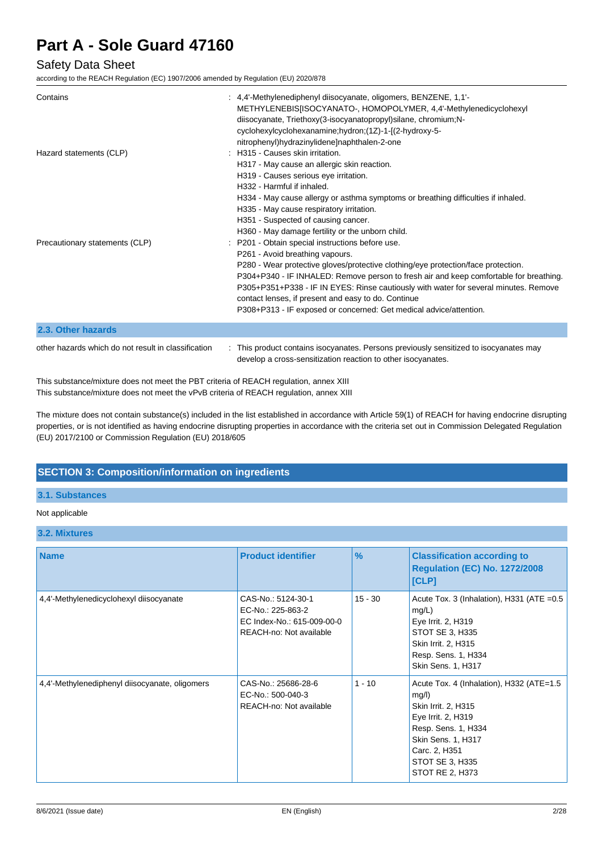### Safety Data Sheet

according to the REACH Regulation (EC) 1907/2006 amended by Regulation (EU) 2020/878

| Contains                                            | : 4,4'-Methylenediphenyl diisocyanate, oligomers, BENZENE, 1,1'-<br>METHYLENEBIS[ISOCYANATO-, HOMOPOLYMER, 4,4'-Methylenedicyclohexyl<br>diisocyanate, Triethoxy(3-isocyanatopropyl)silane, chromium;N-<br>cyclohexylcyclohexanamine;hydron;(1Z)-1-[(2-hydroxy-5-<br>nitrophenyl)hydrazinylidene]naphthalen-2-one                                                                                                                                                                       |
|-----------------------------------------------------|-----------------------------------------------------------------------------------------------------------------------------------------------------------------------------------------------------------------------------------------------------------------------------------------------------------------------------------------------------------------------------------------------------------------------------------------------------------------------------------------|
| Hazard statements (CLP)                             | : H315 - Causes skin irritation.<br>H317 - May cause an allergic skin reaction.<br>H319 - Causes serious eye irritation.<br>H332 - Harmful if inhaled.<br>H334 - May cause allergy or asthma symptoms or breathing difficulties if inhaled.<br>H335 - May cause respiratory irritation.<br>H351 - Suspected of causing cancer.<br>H360 - May damage fertility or the unborn child.                                                                                                      |
| Precautionary statements (CLP)                      | : P201 - Obtain special instructions before use.<br>P261 - Avoid breathing vapours.<br>P280 - Wear protective gloves/protective clothing/eye protection/face protection.<br>P304+P340 - IF INHALED: Remove person to fresh air and keep comfortable for breathing.<br>P305+P351+P338 - IF IN EYES: Rinse cautiously with water for several minutes. Remove<br>contact lenses, if present and easy to do. Continue<br>P308+P313 - IF exposed or concerned: Get medical advice/attention. |
| 2.3. Other hazards                                  |                                                                                                                                                                                                                                                                                                                                                                                                                                                                                         |
| other hazards which do not result in classification | : This product contains isocyanates. Persons previously sensitized to isocyanates may<br>develop a cross-sensitization reaction to other isocyanates.                                                                                                                                                                                                                                                                                                                                   |

This substance/mixture does not meet the PBT criteria of REACH regulation, annex XIII This substance/mixture does not meet the vPvB criteria of REACH regulation, annex XIII

The mixture does not contain substance(s) included in the list established in accordance with Article 59(1) of REACH for having endocrine disrupting properties, or is not identified as having endocrine disrupting properties in accordance with the criteria set out in Commission Delegated Regulation (EU) 2017/2100 or Commission Regulation (EU) 2018/605

### **SECTION 3: Composition/information on ingredients**

#### **3.1. Substances**

#### Not applicable

#### **3.2. Mixtures**

| <b>Name</b>                                    | <b>Product identifier</b>                                                                        | $\frac{9}{6}$ | <b>Classification according to</b><br><b>Regulation (EC) No. 1272/2008</b><br>[CLP]                                                                                                                |
|------------------------------------------------|--------------------------------------------------------------------------------------------------|---------------|----------------------------------------------------------------------------------------------------------------------------------------------------------------------------------------------------|
| 4,4'-Methylenedicyclohexyl diisocyanate        | CAS-No.: 5124-30-1<br>EC-No.: 225-863-2<br>EC Index-No.: 615-009-00-0<br>REACH-no: Not available | $15 - 30$     | Acute Tox. 3 (Inhalation), H331 (ATE = 0.5<br>mg/L)<br>Eye Irrit. 2, H319<br>STOT SE 3, H335<br>Skin Irrit. 2, H315<br>Resp. Sens. 1, H334<br>Skin Sens. 1, H317                                   |
| 4,4'-Methylenediphenyl diisocyanate, oligomers | CAS-No.: 25686-28-6<br>EC-No.: 500-040-3<br>REACH-no: Not available                              | $1 - 10$      | Acute Tox. 4 (Inhalation), H332 (ATE=1.5<br>mg/l)<br>Skin Irrit. 2, H315<br>Eye Irrit. 2, H319<br>Resp. Sens. 1, H334<br>Skin Sens. 1, H317<br>Carc. 2, H351<br>STOT SE 3, H335<br>STOT RE 2, H373 |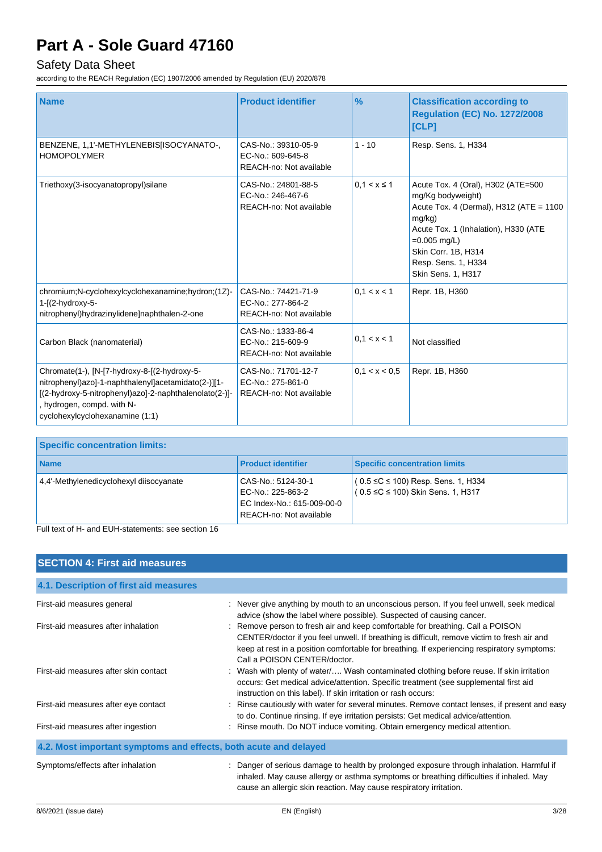### Safety Data Sheet

according to the REACH Regulation (EC) 1907/2006 amended by Regulation (EU) 2020/878

| <b>Name</b>                                                                                                                                                                                                                    | <b>Product identifier</b>                                           | $\%$             | <b>Classification according to</b><br><b>Regulation (EC) No. 1272/2008</b><br>[CLP]                                                                                                                                                           |
|--------------------------------------------------------------------------------------------------------------------------------------------------------------------------------------------------------------------------------|---------------------------------------------------------------------|------------------|-----------------------------------------------------------------------------------------------------------------------------------------------------------------------------------------------------------------------------------------------|
| BENZENE, 1,1'-METHYLENEBIS[ISOCYANATO-,<br><b>HOMOPOLYMER</b>                                                                                                                                                                  | CAS-No.: 39310-05-9<br>EC-No.: 609-645-8<br>REACH-no: Not available | $1 - 10$         | Resp. Sens. 1, H334                                                                                                                                                                                                                           |
| Triethoxy(3-isocyanatopropyl)silane                                                                                                                                                                                            | CAS-No.: 24801-88-5<br>EC-No.: 246-467-6<br>REACH-no: Not available | $0, 1 < x \le 1$ | Acute Tox. 4 (Oral), H302 (ATE=500<br>mg/Kg bodyweight)<br>Acute Tox. 4 (Dermal), H312 (ATE = 1100<br>$mg/kg$ )<br>Acute Tox. 1 (Inhalation), H330 (ATE<br>$=0.005$ mg/L)<br>Skin Corr. 1B, H314<br>Resp. Sens. 1, H334<br>Skin Sens. 1, H317 |
| chromium;N-cyclohexylcyclohexanamine;hydron;(1Z)-<br>1-[(2-hydroxy-5-<br>nitrophenyl)hydrazinylidene]naphthalen-2-one                                                                                                          | CAS-No.: 74421-71-9<br>EC-No.: 277-864-2<br>REACH-no: Not available | 0.1 < x < 1      | Repr. 1B, H360                                                                                                                                                                                                                                |
| Carbon Black (nanomaterial)                                                                                                                                                                                                    | CAS-No.: 1333-86-4<br>EC-No.: 215-609-9<br>REACH-no: Not available  | 0, 1 < x < 1     | Not classified                                                                                                                                                                                                                                |
| Chromate(1-), [N-[7-hydroxy-8-[(2-hydroxy-5-<br>nitrophenyl)azo]-1-naphthalenyl]acetamidato(2-)][1-<br>[(2-hydroxy-5-nitrophenyl)azo]-2-naphthalenolato(2-)]-<br>, hydrogen, compd. with N-<br>cyclohexylcyclohexanamine (1:1) | CAS-No.: 71701-12-7<br>EC-No.: 275-861-0<br>REACH-no: Not available | 0.1 < x < 0.5    | Repr. 1B, H360                                                                                                                                                                                                                                |

| <b>Specific concentration limits:</b>   |                                                                                                  |                                                                                     |
|-----------------------------------------|--------------------------------------------------------------------------------------------------|-------------------------------------------------------------------------------------|
| <b>Name</b>                             | <b>Product identifier</b>                                                                        | <b>Specific concentration limits</b>                                                |
| 4,4'-Methylenedicyclohexyl diisocyanate | CAS-No.: 5124-30-1<br>EC-No.: 225-863-2<br>EC Index-No.: 615-009-00-0<br>REACH-no: Not available | $(0.5 \leq C \leq 100)$ Resp. Sens. 1, H334<br>$(0.5 ≤ C ≤ 100)$ Skin Sens. 1, H317 |

Full text of H- and EUH-statements: see section 16

| <b>SECTION 4: First aid measures</b>                             |                                                                                                                                                                                                                                                                                                              |
|------------------------------------------------------------------|--------------------------------------------------------------------------------------------------------------------------------------------------------------------------------------------------------------------------------------------------------------------------------------------------------------|
| 4.1. Description of first aid measures                           |                                                                                                                                                                                                                                                                                                              |
| First-aid measures general                                       | : Never give anything by mouth to an unconscious person. If you feel unwell, seek medical<br>advice (show the label where possible). Suspected of causing cancer.                                                                                                                                            |
| First-aid measures after inhalation                              | : Remove person to fresh air and keep comfortable for breathing. Call a POISON<br>CENTER/doctor if you feel unwell. If breathing is difficult, remove victim to fresh air and<br>keep at rest in a position comfortable for breathing. If experiencing respiratory symptoms:<br>Call a POISON CENTER/doctor. |
| First-aid measures after skin contact                            | : Wash with plenty of water/ Wash contaminated clothing before reuse. If skin irritation<br>occurs: Get medical advice/attention. Specific treatment (see supplemental first aid<br>instruction on this label). If skin irritation or rash occurs:                                                           |
| First-aid measures after eye contact                             | : Rinse cautiously with water for several minutes. Remove contact lenses, if present and easy<br>to do. Continue rinsing. If eye irritation persists: Get medical advice/attention.                                                                                                                          |
| First-aid measures after ingestion                               | : Rinse mouth. Do NOT induce vomiting. Obtain emergency medical attention.                                                                                                                                                                                                                                   |
| 4.2. Most important symptoms and effects, both acute and delayed |                                                                                                                                                                                                                                                                                                              |
| Symptoms/effects after inhalation                                | Danger of serious damage to health by prolonged exposure through inhalation. Harmful if<br>inhaled. May cause allergy or asthma symptoms or breathing difficulties if inhaled. May<br>cause an allergic skin reaction. May cause respiratory irritation.                                                     |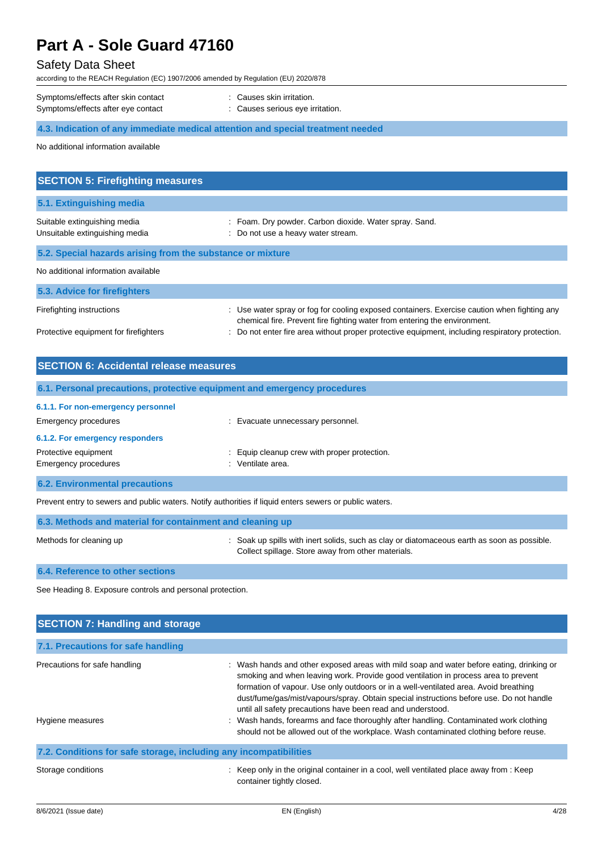### Safety Data Sheet

according to the REACH Regulation (EC) 1907/2006 amended by Regulation (EU) 2020/878

| Symptoms/effects after skin contact | : Causes skin irritation.        |
|-------------------------------------|----------------------------------|
| Symptoms/effects after eye contact  | : Causes serious eye irritation. |

### **4.3. Indication of any immediate medical attention and special treatment needed**

No additional information available

| <b>SECTION 5: Firefighting measures</b>                        |                                                                                                                                                                          |
|----------------------------------------------------------------|--------------------------------------------------------------------------------------------------------------------------------------------------------------------------|
| 5.1. Extinguishing media                                       |                                                                                                                                                                          |
| Suitable extinguishing media<br>Unsuitable extinguishing media | : Foam. Dry powder. Carbon dioxide. Water spray. Sand.<br>: Do not use a heavy water stream.                                                                             |
| 5.2. Special hazards arising from the substance or mixture     |                                                                                                                                                                          |
| No additional information available                            |                                                                                                                                                                          |
| 5.3. Advice for firefighters                                   |                                                                                                                                                                          |
| Firefighting instructions                                      | : Use water spray or fog for cooling exposed containers. Exercise caution when fighting any<br>chemical fire. Prevent fire fighting water from entering the environment. |
| Protective equipment for firefighters                          | : Do not enter fire area without proper protective equipment, including respiratory protection.                                                                          |

| <b>SECTION 6: Accidental release measures</b> |                                                                          |  |
|-----------------------------------------------|--------------------------------------------------------------------------|--|
|                                               | 6.1. Personal precautions, protective equipment and emergency procedures |  |
| 6.1.1. For non-emergency personnel            |                                                                          |  |
| Emergency procedures                          | : Evacuate unnecessary personnel.                                        |  |
| 6.1.2. For emergency responders               |                                                                          |  |
| Protective equipment                          | : Equip cleanup crew with proper protection.                             |  |
| Emergency procedures                          | : Ventilate area.                                                        |  |
| <b>6.2. Environmental precautions</b>         |                                                                          |  |

Prevent entry to sewers and public waters. Notify authorities if liquid enters sewers or public waters.

| 6.3. Methods and material for containment and cleaning up |                                                                                                                                                   |  |
|-----------------------------------------------------------|---------------------------------------------------------------------------------------------------------------------------------------------------|--|
| Methods for cleaning up                                   | : Soak up spills with inert solids, such as clay or diatomaceous earth as soon as possible.<br>Collect spillage. Store away from other materials. |  |

#### **6.4. Reference to other sections**

See Heading 8. Exposure controls and personal protection.

| <b>SECTION 7: Handling and storage</b>                            |                                                                                                                                                                                                                                                                                                                                                                                                                                                                                                                                                                                                                   |
|-------------------------------------------------------------------|-------------------------------------------------------------------------------------------------------------------------------------------------------------------------------------------------------------------------------------------------------------------------------------------------------------------------------------------------------------------------------------------------------------------------------------------------------------------------------------------------------------------------------------------------------------------------------------------------------------------|
| 7.1. Precautions for safe handling                                |                                                                                                                                                                                                                                                                                                                                                                                                                                                                                                                                                                                                                   |
| Precautions for safe handling<br>Hygiene measures                 | : Wash hands and other exposed areas with mild soap and water before eating, drinking or<br>smoking and when leaving work. Provide good ventilation in process area to prevent<br>formation of vapour. Use only outdoors or in a well-ventilated area. Avoid breathing<br>dust/fume/gas/mist/vapours/spray. Obtain special instructions before use. Do not handle<br>until all safety precautions have been read and understood.<br>: Wash hands, forearms and face thoroughly after handling. Contaminated work clothing<br>should not be allowed out of the workplace. Wash contaminated clothing before reuse. |
| 7.2. Conditions for safe storage, including any incompatibilities |                                                                                                                                                                                                                                                                                                                                                                                                                                                                                                                                                                                                                   |
| Storage conditions                                                | : Keep only in the original container in a cool, well ventilated place away from : Keep<br>container tightly closed.                                                                                                                                                                                                                                                                                                                                                                                                                                                                                              |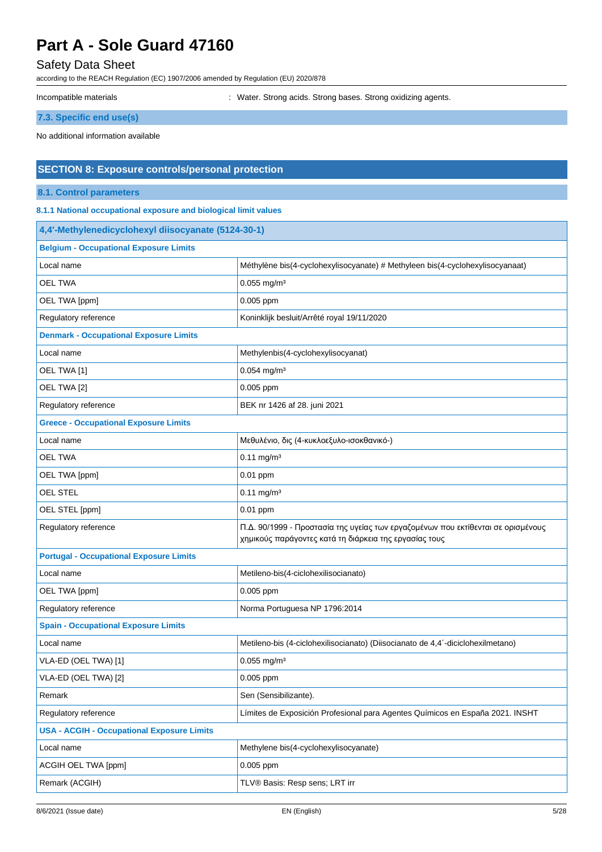### Safety Data Sheet

according to the REACH Regulation (EC) 1907/2006 amended by Regulation (EU) 2020/878

Incompatible materials **incompatible materials** : Water. Strong acids. Strong bases. Strong oxidizing agents.

**7.3. Specific end use(s)**

No additional information available

### **SECTION 8: Exposure controls/personal protection**

#### **8.1. Control parameters**

**8.1.1 National occupational exposure and biological limit values**

| 4,4'-Methylenedicyclohexyl diisocyanate (5124-30-1) |                                                                                                                                            |  |  |
|-----------------------------------------------------|--------------------------------------------------------------------------------------------------------------------------------------------|--|--|
| <b>Belgium - Occupational Exposure Limits</b>       |                                                                                                                                            |  |  |
| Local name                                          | Méthylène bis(4-cyclohexylisocyanate) # Methyleen bis(4-cyclohexylisocyanaat)                                                              |  |  |
| <b>OEL TWA</b>                                      | $0.055$ mg/m <sup>3</sup>                                                                                                                  |  |  |
| OEL TWA [ppm]                                       | 0.005 ppm                                                                                                                                  |  |  |
| Regulatory reference                                | Koninklijk besluit/Arrêté royal 19/11/2020                                                                                                 |  |  |
| <b>Denmark - Occupational Exposure Limits</b>       |                                                                                                                                            |  |  |
| Local name                                          | Methylenbis(4-cyclohexylisocyanat)                                                                                                         |  |  |
| OEL TWA [1]                                         | $0.054$ mg/m <sup>3</sup>                                                                                                                  |  |  |
| OEL TWA [2]                                         | $0.005$ ppm                                                                                                                                |  |  |
| Regulatory reference                                | BEK nr 1426 af 28. juni 2021                                                                                                               |  |  |
| <b>Greece - Occupational Exposure Limits</b>        |                                                                                                                                            |  |  |
| Local name                                          | Μεθυλένιο, δις (4-κυκλοεξυλο-ισοκθανικό-)                                                                                                  |  |  |
| <b>OEL TWA</b>                                      | $0.11$ mg/m <sup>3</sup>                                                                                                                   |  |  |
| OEL TWA [ppm]                                       | 0.01 ppm                                                                                                                                   |  |  |
| OEL STEL                                            | $0.11 \text{ mg/m}^3$                                                                                                                      |  |  |
| OEL STEL [ppm]                                      | $0.01$ ppm                                                                                                                                 |  |  |
| Regulatory reference                                | Π.Δ. 90/1999 - Προστασία της υγείας των εργαζομένων που εκτίθενται σε ορισμένους<br>χημικούς παράγοντες κατά τη διάρκεια της εργασίας τους |  |  |
| <b>Portugal - Occupational Exposure Limits</b>      |                                                                                                                                            |  |  |
| Local name                                          | Metileno-bis(4-ciclohexilisocianato)                                                                                                       |  |  |
| OEL TWA [ppm]                                       | 0.005 ppm                                                                                                                                  |  |  |
| Regulatory reference                                | Norma Portuguesa NP 1796:2014                                                                                                              |  |  |
| <b>Spain - Occupational Exposure Limits</b>         |                                                                                                                                            |  |  |
| Local name                                          | Metileno-bis (4-ciclohexilisocianato) (Diisocianato de 4,4'-diciclohexilmetano)                                                            |  |  |
| VLA-ED (OEL TWA) [1]                                | $0.055$ mg/m <sup>3</sup>                                                                                                                  |  |  |
| VLA-ED (OEL TWA) [2]                                | 0.005 ppm                                                                                                                                  |  |  |
| Remark                                              | Sen (Sensibilizante).                                                                                                                      |  |  |
| Regulatory reference                                | Límites de Exposición Profesional para Agentes Químicos en España 2021. INSHT                                                              |  |  |
| <b>USA - ACGIH - Occupational Exposure Limits</b>   |                                                                                                                                            |  |  |
| Local name                                          | Methylene bis(4-cyclohexylisocyanate)                                                                                                      |  |  |
| ACGIH OEL TWA [ppm]                                 | 0.005 ppm                                                                                                                                  |  |  |
| Remark (ACGIH)                                      | TLV® Basis: Resp sens; LRT irr                                                                                                             |  |  |
|                                                     |                                                                                                                                            |  |  |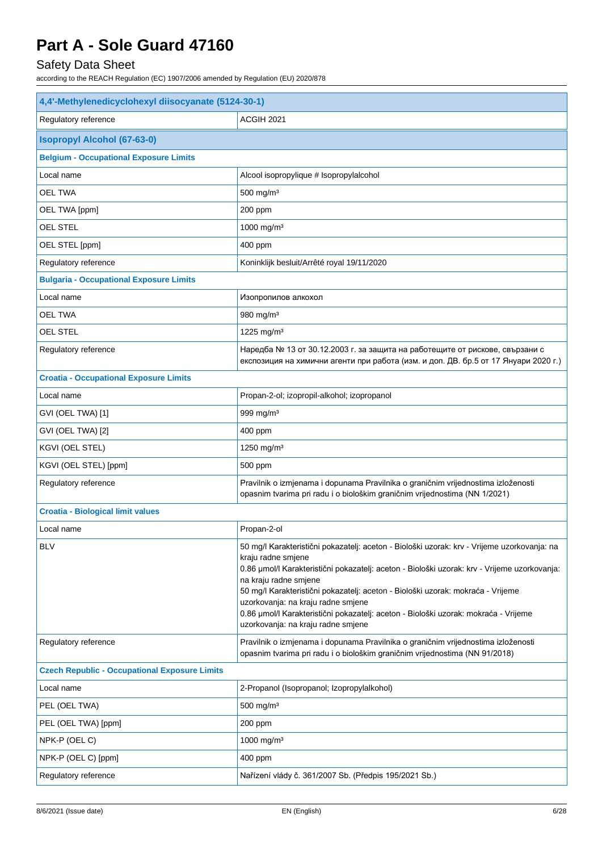### Safety Data Sheet

| 4,4'-Methylenedicyclohexyl diisocyanate (5124-30-1)  |                                                                                                                                                                                                                                                                                                                                                                                                                                                                                                  |  |
|------------------------------------------------------|--------------------------------------------------------------------------------------------------------------------------------------------------------------------------------------------------------------------------------------------------------------------------------------------------------------------------------------------------------------------------------------------------------------------------------------------------------------------------------------------------|--|
| Regulatory reference                                 | ACGIH 2021                                                                                                                                                                                                                                                                                                                                                                                                                                                                                       |  |
| <b>Isopropyl Alcohol (67-63-0)</b>                   |                                                                                                                                                                                                                                                                                                                                                                                                                                                                                                  |  |
| <b>Belgium - Occupational Exposure Limits</b>        |                                                                                                                                                                                                                                                                                                                                                                                                                                                                                                  |  |
| Local name                                           | Alcool isopropylique # Isopropylalcohol                                                                                                                                                                                                                                                                                                                                                                                                                                                          |  |
| <b>OEL TWA</b>                                       | $500$ mg/m <sup>3</sup>                                                                                                                                                                                                                                                                                                                                                                                                                                                                          |  |
| OEL TWA [ppm]                                        | 200 ppm                                                                                                                                                                                                                                                                                                                                                                                                                                                                                          |  |
| <b>OEL STEL</b>                                      | 1000 mg/m <sup>3</sup>                                                                                                                                                                                                                                                                                                                                                                                                                                                                           |  |
| OEL STEL [ppm]                                       | 400 ppm                                                                                                                                                                                                                                                                                                                                                                                                                                                                                          |  |
| Regulatory reference                                 | Koninklijk besluit/Arrêté royal 19/11/2020                                                                                                                                                                                                                                                                                                                                                                                                                                                       |  |
| <b>Bulgaria - Occupational Exposure Limits</b>       |                                                                                                                                                                                                                                                                                                                                                                                                                                                                                                  |  |
| Local name                                           | Изопропилов алкохол                                                                                                                                                                                                                                                                                                                                                                                                                                                                              |  |
| OEL TWA                                              | 980 mg/m <sup>3</sup>                                                                                                                                                                                                                                                                                                                                                                                                                                                                            |  |
| OEL STEL                                             | 1225 mg/m <sup>3</sup>                                                                                                                                                                                                                                                                                                                                                                                                                                                                           |  |
| Regulatory reference                                 | Наредба № 13 от 30.12.2003 г. за защита на работещите от рискове, свързани с<br>експозиция на химични агенти при работа (изм. и доп. ДВ. бр.5 от 17 Януари 2020 г.)                                                                                                                                                                                                                                                                                                                              |  |
| <b>Croatia - Occupational Exposure Limits</b>        |                                                                                                                                                                                                                                                                                                                                                                                                                                                                                                  |  |
| Local name                                           | Propan-2-ol; izopropil-alkohol; izopropanol                                                                                                                                                                                                                                                                                                                                                                                                                                                      |  |
| GVI (OEL TWA) [1]                                    | 999 mg/m <sup>3</sup>                                                                                                                                                                                                                                                                                                                                                                                                                                                                            |  |
| GVI (OEL TWA) [2]                                    | 400 ppm                                                                                                                                                                                                                                                                                                                                                                                                                                                                                          |  |
| KGVI (OEL STEL)                                      | 1250 mg/m <sup>3</sup>                                                                                                                                                                                                                                                                                                                                                                                                                                                                           |  |
| KGVI (OEL STEL) [ppm]                                | 500 ppm                                                                                                                                                                                                                                                                                                                                                                                                                                                                                          |  |
| Regulatory reference                                 | Pravilnik o izmjenama i dopunama Pravilnika o graničnim vrijednostima izloženosti<br>opasnim tvarima pri radu i o biološkim graničnim vrijednostima (NN 1/2021)                                                                                                                                                                                                                                                                                                                                  |  |
| <b>Croatia - Biological limit values</b>             |                                                                                                                                                                                                                                                                                                                                                                                                                                                                                                  |  |
| Local name                                           | Propan-2-ol                                                                                                                                                                                                                                                                                                                                                                                                                                                                                      |  |
| <b>BLV</b>                                           | 50 mg/l Karakteristični pokazatelj: aceton - Biološki uzorak: krv - Vrijeme uzorkovanja: na<br>kraju radne smjene<br>0.86 µmol/l Karakteristični pokazatelj: aceton - Biološki uzorak: krv - Vrijeme uzorkovanja:<br>na kraju radne smjene<br>50 mg/l Karakteristični pokazatelj: aceton - Biološki uzorak: mokraća - Vrijeme<br>uzorkovanja: na kraju radne smjene<br>0.86 µmol/l Karakteristični pokazatelj: aceton - Biološki uzorak: mokraća - Vrijeme<br>uzorkovanja: na kraju radne smjene |  |
| Regulatory reference                                 | Pravilnik o izmjenama i dopunama Pravilnika o graničnim vrijednostima izloženosti<br>opasnim tvarima pri radu i o biološkim graničnim vrijednostima (NN 91/2018)                                                                                                                                                                                                                                                                                                                                 |  |
| <b>Czech Republic - Occupational Exposure Limits</b> |                                                                                                                                                                                                                                                                                                                                                                                                                                                                                                  |  |
| Local name                                           | 2-Propanol (Isopropanol; Izopropylalkohol)                                                                                                                                                                                                                                                                                                                                                                                                                                                       |  |
| PEL (OEL TWA)                                        | $500$ mg/m <sup>3</sup>                                                                                                                                                                                                                                                                                                                                                                                                                                                                          |  |
| PEL (OEL TWA) [ppm]                                  | 200 ppm                                                                                                                                                                                                                                                                                                                                                                                                                                                                                          |  |
| NPK-P (OEL C)                                        | 1000 mg/m <sup>3</sup>                                                                                                                                                                                                                                                                                                                                                                                                                                                                           |  |
| NPK-P (OEL C) [ppm]                                  | 400 ppm                                                                                                                                                                                                                                                                                                                                                                                                                                                                                          |  |
| Regulatory reference                                 | Nařízení vlády č. 361/2007 Sb. (Předpis 195/2021 Sb.)                                                                                                                                                                                                                                                                                                                                                                                                                                            |  |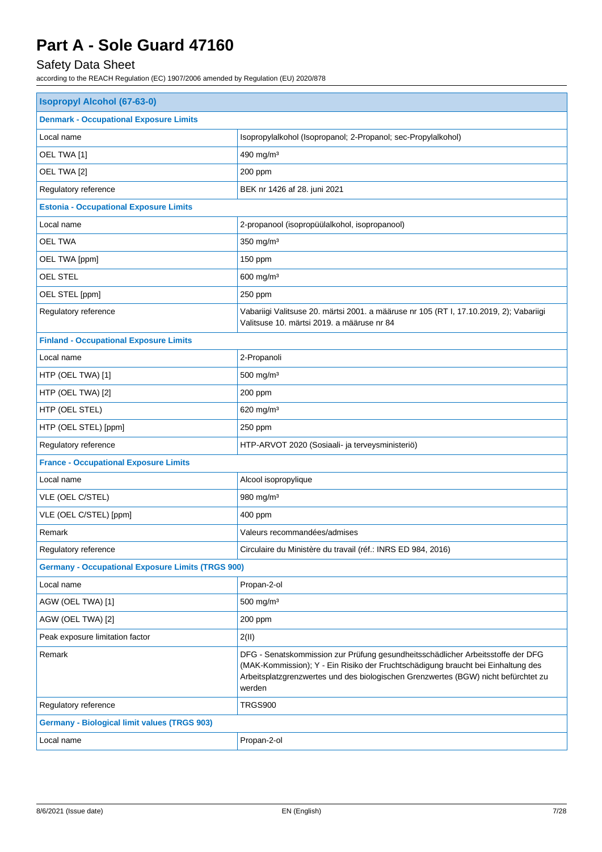## Safety Data Sheet

| <b>Isopropyl Alcohol (67-63-0)</b>                       |                                                                                                                                                                                                                                                                     |  |
|----------------------------------------------------------|---------------------------------------------------------------------------------------------------------------------------------------------------------------------------------------------------------------------------------------------------------------------|--|
| <b>Denmark - Occupational Exposure Limits</b>            |                                                                                                                                                                                                                                                                     |  |
| Local name                                               | Isopropylalkohol (Isopropanol; 2-Propanol; sec-Propylalkohol)                                                                                                                                                                                                       |  |
| OEL TWA [1]                                              | 490 mg/m <sup>3</sup>                                                                                                                                                                                                                                               |  |
| OEL TWA [2]                                              | 200 ppm                                                                                                                                                                                                                                                             |  |
| Regulatory reference                                     | BEK nr 1426 af 28. juni 2021                                                                                                                                                                                                                                        |  |
| <b>Estonia - Occupational Exposure Limits</b>            |                                                                                                                                                                                                                                                                     |  |
| Local name                                               | 2-propanool (isopropüülalkohol, isopropanool)                                                                                                                                                                                                                       |  |
| <b>OEL TWA</b>                                           | 350 mg/m <sup>3</sup>                                                                                                                                                                                                                                               |  |
| OEL TWA [ppm]                                            | 150 ppm                                                                                                                                                                                                                                                             |  |
| OEL STEL                                                 | 600 mg/m <sup>3</sup>                                                                                                                                                                                                                                               |  |
| OEL STEL [ppm]                                           | 250 ppm                                                                                                                                                                                                                                                             |  |
| Regulatory reference                                     | Vabariigi Valitsuse 20. märtsi 2001. a määruse nr 105 (RT I, 17.10.2019, 2); Vabariigi<br>Valitsuse 10. märtsi 2019. a määruse nr 84                                                                                                                                |  |
| <b>Finland - Occupational Exposure Limits</b>            |                                                                                                                                                                                                                                                                     |  |
| Local name                                               | 2-Propanoli                                                                                                                                                                                                                                                         |  |
| HTP (OEL TWA) [1]                                        | 500 mg/m <sup>3</sup>                                                                                                                                                                                                                                               |  |
| HTP (OEL TWA) [2]                                        | 200 ppm                                                                                                                                                                                                                                                             |  |
| HTP (OEL STEL)                                           | 620 mg/m <sup>3</sup>                                                                                                                                                                                                                                               |  |
| HTP (OEL STEL) [ppm]                                     | 250 ppm                                                                                                                                                                                                                                                             |  |
| Regulatory reference                                     | HTP-ARVOT 2020 (Sosiaali- ja terveysministeriö)                                                                                                                                                                                                                     |  |
| <b>France - Occupational Exposure Limits</b>             |                                                                                                                                                                                                                                                                     |  |
| Local name                                               | Alcool isopropylique                                                                                                                                                                                                                                                |  |
| VLE (OEL C/STEL)                                         | 980 mg/m <sup>3</sup>                                                                                                                                                                                                                                               |  |
| VLE (OEL C/STEL) [ppm]                                   | 400 ppm                                                                                                                                                                                                                                                             |  |
| Remark                                                   | Valeurs recommandées/admises                                                                                                                                                                                                                                        |  |
| Regulatory reference                                     | Circulaire du Ministère du travail (réf.: INRS ED 984, 2016)                                                                                                                                                                                                        |  |
| <b>Germany - Occupational Exposure Limits (TRGS 900)</b> |                                                                                                                                                                                                                                                                     |  |
| Local name                                               | Propan-2-ol                                                                                                                                                                                                                                                         |  |
| AGW (OEL TWA) [1]                                        | 500 mg/m <sup>3</sup>                                                                                                                                                                                                                                               |  |
| AGW (OEL TWA) [2]                                        | 200 ppm                                                                                                                                                                                                                                                             |  |
| Peak exposure limitation factor                          | 2(11)                                                                                                                                                                                                                                                               |  |
| Remark                                                   | DFG - Senatskommission zur Prüfung gesundheitsschädlicher Arbeitsstoffe der DFG<br>(MAK-Kommission); Y - Ein Risiko der Fruchtschädigung braucht bei Einhaltung des<br>Arbeitsplatzgrenzwertes und des biologischen Grenzwertes (BGW) nicht befürchtet zu<br>werden |  |
| Regulatory reference                                     | <b>TRGS900</b>                                                                                                                                                                                                                                                      |  |
| <b>Germany - Biological limit values (TRGS 903)</b>      |                                                                                                                                                                                                                                                                     |  |
| Local name                                               | Propan-2-ol                                                                                                                                                                                                                                                         |  |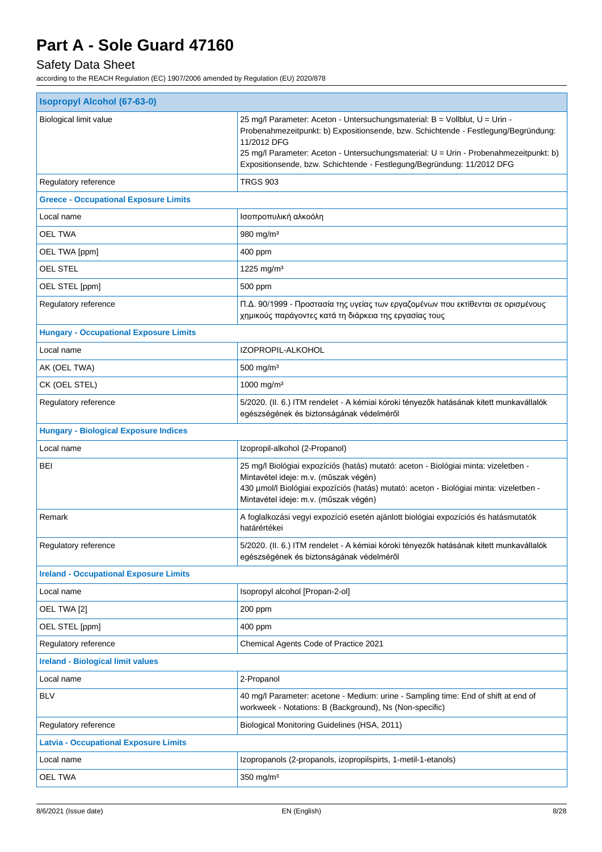## Safety Data Sheet

| 25 mg/l Parameter: Aceton - Untersuchungsmaterial: B = Vollblut, U = Urin -<br>Probenahmezeitpunkt: b) Expositionsende, bzw. Schichtende - Festlegung/Begründung:<br>11/2012 DFG<br>25 mg/l Parameter: Aceton - Untersuchungsmaterial: U = Urin - Probenahmezeitpunkt: b)<br>Expositionsende, bzw. Schichtende - Festlegung/Begründung: 11/2012 DFG |  |  |
|-----------------------------------------------------------------------------------------------------------------------------------------------------------------------------------------------------------------------------------------------------------------------------------------------------------------------------------------------------|--|--|
| <b>TRGS 903</b>                                                                                                                                                                                                                                                                                                                                     |  |  |
|                                                                                                                                                                                                                                                                                                                                                     |  |  |
| Ισοπροπυλική αλκοόλη                                                                                                                                                                                                                                                                                                                                |  |  |
| 980 mg/m $3$                                                                                                                                                                                                                                                                                                                                        |  |  |
| 400 ppm                                                                                                                                                                                                                                                                                                                                             |  |  |
| 1225 mg/m <sup>3</sup>                                                                                                                                                                                                                                                                                                                              |  |  |
| 500 ppm                                                                                                                                                                                                                                                                                                                                             |  |  |
| Π.Δ. 90/1999 - Προστασία της υγείας των εργαζομένων που εκτίθενται σε ορισμένους<br>χημικούς παράγοντες κατά τη διάρκεια της εργασίας τους                                                                                                                                                                                                          |  |  |
|                                                                                                                                                                                                                                                                                                                                                     |  |  |
| IZOPROPIL-ALKOHOL                                                                                                                                                                                                                                                                                                                                   |  |  |
| $500$ mg/m <sup>3</sup>                                                                                                                                                                                                                                                                                                                             |  |  |
| 1000 mg/m <sup>3</sup>                                                                                                                                                                                                                                                                                                                              |  |  |
| 5/2020. (II. 6.) ITM rendelet - A kémiai kóroki tényezők hatásának kitett munkavállalók<br>egészségének és biztonságának védelméről                                                                                                                                                                                                                 |  |  |
| <b>Hungary - Biological Exposure Indices</b>                                                                                                                                                                                                                                                                                                        |  |  |
| Izopropil-alkohol (2-Propanol)                                                                                                                                                                                                                                                                                                                      |  |  |
| 25 mg/l Biológiai expozíciós (hatás) mutató: aceton - Biológiai minta: vizeletben -<br>Mintavétel ideje: m.v. (műszak végén)<br>430 umol/l Biológiai expozíciós (hatás) mutató: aceton - Biológiai minta: vizeletben -<br>Mintavétel ideje: m.v. (műszak végén)                                                                                     |  |  |
| A foglalkozási vegyi expozíció esetén ajánlott biológiai expozíciós és hatásmutatók<br>határértékei                                                                                                                                                                                                                                                 |  |  |
| 5/2020. (II. 6.) ITM rendelet - A kémiai kóroki tényezők hatásának kitett munkavállalók<br>egészségének és biztonságának védelméről                                                                                                                                                                                                                 |  |  |
|                                                                                                                                                                                                                                                                                                                                                     |  |  |
| Isopropyl alcohol [Propan-2-ol]                                                                                                                                                                                                                                                                                                                     |  |  |
| 200 ppm                                                                                                                                                                                                                                                                                                                                             |  |  |
|                                                                                                                                                                                                                                                                                                                                                     |  |  |
| 400 ppm                                                                                                                                                                                                                                                                                                                                             |  |  |
| Chemical Agents Code of Practice 2021                                                                                                                                                                                                                                                                                                               |  |  |
|                                                                                                                                                                                                                                                                                                                                                     |  |  |
| 2-Propanol                                                                                                                                                                                                                                                                                                                                          |  |  |
| 40 mg/l Parameter: acetone - Medium: urine - Sampling time: End of shift at end of<br>workweek - Notations: B (Background), Ns (Non-specific)                                                                                                                                                                                                       |  |  |
| Biological Monitoring Guidelines (HSA, 2011)                                                                                                                                                                                                                                                                                                        |  |  |
|                                                                                                                                                                                                                                                                                                                                                     |  |  |
| Izopropanols (2-propanols, izopropilspirts, 1-metil-1-etanols)                                                                                                                                                                                                                                                                                      |  |  |
|                                                                                                                                                                                                                                                                                                                                                     |  |  |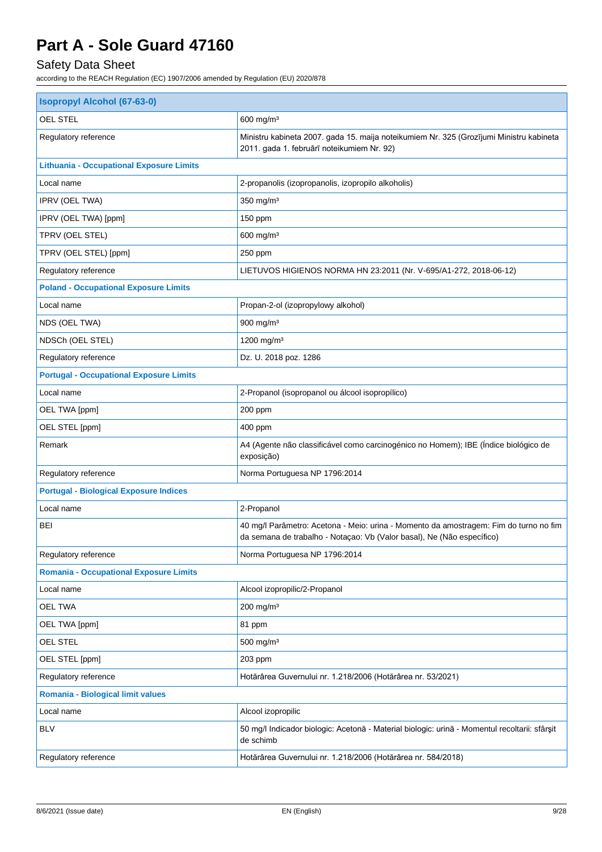## Safety Data Sheet

| <b>Isopropyl Alcohol (67-63-0)</b>              |                                                                                                                                                                 |  |
|-------------------------------------------------|-----------------------------------------------------------------------------------------------------------------------------------------------------------------|--|
| <b>OEL STEL</b>                                 | 600 mg/m <sup>3</sup>                                                                                                                                           |  |
| Regulatory reference                            | Ministru kabineta 2007. gada 15. maija noteikumiem Nr. 325 (Grozījumi Ministru kabineta<br>2011. gada 1. februārī noteikumiem Nr. 92)                           |  |
| <b>Lithuania - Occupational Exposure Limits</b> |                                                                                                                                                                 |  |
| Local name                                      | 2-propanolis (izopropanolis, izopropilo alkoholis)                                                                                                              |  |
| IPRV (OEL TWA)                                  | 350 mg/m <sup>3</sup>                                                                                                                                           |  |
| IPRV (OEL TWA) [ppm]                            | 150 ppm                                                                                                                                                         |  |
| TPRV (OEL STEL)                                 | $600$ mg/m <sup>3</sup>                                                                                                                                         |  |
| TPRV (OEL STEL) [ppm]                           | 250 ppm                                                                                                                                                         |  |
| Regulatory reference                            | LIETUVOS HIGIENOS NORMA HN 23:2011 (Nr. V-695/A1-272, 2018-06-12)                                                                                               |  |
| <b>Poland - Occupational Exposure Limits</b>    |                                                                                                                                                                 |  |
| Local name                                      | Propan-2-ol (izopropylowy alkohol)                                                                                                                              |  |
| NDS (OEL TWA)                                   | 900 mg/m <sup>3</sup>                                                                                                                                           |  |
| NDSCh (OEL STEL)                                | 1200 mg/m <sup>3</sup>                                                                                                                                          |  |
| Regulatory reference                            | Dz. U. 2018 poz. 1286                                                                                                                                           |  |
| <b>Portugal - Occupational Exposure Limits</b>  |                                                                                                                                                                 |  |
| Local name                                      | 2-Propanol (isopropanol ou álcool isopropílico)                                                                                                                 |  |
| OEL TWA [ppm]                                   | 200 ppm                                                                                                                                                         |  |
| OEL STEL [ppm]                                  | 400 ppm                                                                                                                                                         |  |
| Remark                                          | A4 (Agente não classificável como carcinogénico no Homem); IBE (Índice biológico de<br>exposição)                                                               |  |
| Regulatory reference                            | Norma Portuguesa NP 1796:2014                                                                                                                                   |  |
| <b>Portugal - Biological Exposure Indices</b>   |                                                                                                                                                                 |  |
| Local name                                      | 2-Propanol                                                                                                                                                      |  |
| <b>BEI</b>                                      | 40 mg/l Parâmetro: Acetona - Meio: urina - Momento da amostragem: Fim do turno no fim<br>da semana de trabalho - Notaçao: Vb (Valor basal), Ne (Não específico) |  |
| Regulatory reference                            | Norma Portuguesa NP 1796:2014                                                                                                                                   |  |
| <b>Romania - Occupational Exposure Limits</b>   |                                                                                                                                                                 |  |
| Local name                                      | Alcool izopropilic/2-Propanol                                                                                                                                   |  |
| <b>OEL TWA</b>                                  | 200 mg/m <sup>3</sup>                                                                                                                                           |  |
| OEL TWA [ppm]                                   | 81 ppm                                                                                                                                                          |  |
| OEL STEL                                        | $500$ mg/m <sup>3</sup>                                                                                                                                         |  |
| OEL STEL [ppm]                                  | 203 ppm                                                                                                                                                         |  |
| Regulatory reference                            | Hotărârea Guvernului nr. 1.218/2006 (Hotărârea nr. 53/2021)                                                                                                     |  |
| <b>Romania - Biological limit values</b>        |                                                                                                                                                                 |  |
| Local name                                      | Alcool izopropilic                                                                                                                                              |  |
| <b>BLV</b>                                      | 50 mg/l Indicador biologic: Acetonă - Material biologic: urină - Momentul recoltarii: sfârșit<br>de schimb                                                      |  |
| Regulatory reference                            | Hotărârea Guvernului nr. 1.218/2006 (Hotărârea nr. 584/2018)                                                                                                    |  |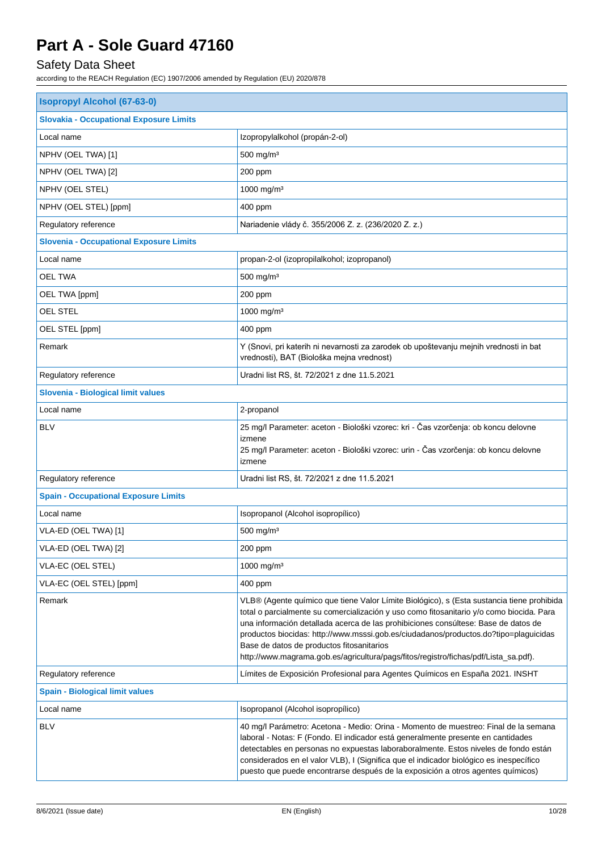## Safety Data Sheet

| <b>Isopropyl Alcohol (67-63-0)</b>             |                                                                                                                                                                                                                                                                                                                                                                                                                                                                                                         |  |
|------------------------------------------------|---------------------------------------------------------------------------------------------------------------------------------------------------------------------------------------------------------------------------------------------------------------------------------------------------------------------------------------------------------------------------------------------------------------------------------------------------------------------------------------------------------|--|
| <b>Slovakia - Occupational Exposure Limits</b> |                                                                                                                                                                                                                                                                                                                                                                                                                                                                                                         |  |
| Local name                                     | Izopropylalkohol (propán-2-ol)                                                                                                                                                                                                                                                                                                                                                                                                                                                                          |  |
| NPHV (OEL TWA) [1]                             | 500 mg/m <sup>3</sup>                                                                                                                                                                                                                                                                                                                                                                                                                                                                                   |  |
| NPHV (OEL TWA) [2]                             | 200 ppm                                                                                                                                                                                                                                                                                                                                                                                                                                                                                                 |  |
| NPHV (OEL STEL)                                | 1000 mg/m <sup>3</sup>                                                                                                                                                                                                                                                                                                                                                                                                                                                                                  |  |
| NPHV (OEL STEL) [ppm]                          | 400 ppm                                                                                                                                                                                                                                                                                                                                                                                                                                                                                                 |  |
| Regulatory reference                           | Nariadenie vlády č. 355/2006 Z. z. (236/2020 Z. z.)                                                                                                                                                                                                                                                                                                                                                                                                                                                     |  |
| <b>Slovenia - Occupational Exposure Limits</b> |                                                                                                                                                                                                                                                                                                                                                                                                                                                                                                         |  |
| Local name                                     | propan-2-ol (izopropilalkohol; izopropanol)                                                                                                                                                                                                                                                                                                                                                                                                                                                             |  |
| OEL TWA                                        | $500$ mg/m <sup>3</sup>                                                                                                                                                                                                                                                                                                                                                                                                                                                                                 |  |
| OEL TWA [ppm]                                  | 200 ppm                                                                                                                                                                                                                                                                                                                                                                                                                                                                                                 |  |
| OEL STEL                                       | 1000 mg/m <sup>3</sup>                                                                                                                                                                                                                                                                                                                                                                                                                                                                                  |  |
| OEL STEL [ppm]                                 | 400 ppm                                                                                                                                                                                                                                                                                                                                                                                                                                                                                                 |  |
| Remark                                         | Y (Snovi, pri katerih ni nevarnosti za zarodek ob upoštevanju mejnih vrednosti in bat<br>vrednosti), BAT (Biološka mejna vrednost)                                                                                                                                                                                                                                                                                                                                                                      |  |
| Regulatory reference                           | Uradni list RS, št. 72/2021 z dne 11.5.2021                                                                                                                                                                                                                                                                                                                                                                                                                                                             |  |
| Slovenia - Biological limit values             |                                                                                                                                                                                                                                                                                                                                                                                                                                                                                                         |  |
| Local name                                     | 2-propanol                                                                                                                                                                                                                                                                                                                                                                                                                                                                                              |  |
| <b>BLV</b>                                     | 25 mg/l Parameter: aceton - Biološki vzorec: kri - Čas vzorčenja: ob koncu delovne<br>izmene<br>25 mg/l Parameter: aceton - Biološki vzorec: urin - Čas vzorčenja: ob koncu delovne<br>izmene                                                                                                                                                                                                                                                                                                           |  |
| Regulatory reference                           | Uradni list RS, št. 72/2021 z dne 11.5.2021                                                                                                                                                                                                                                                                                                                                                                                                                                                             |  |
| <b>Spain - Occupational Exposure Limits</b>    |                                                                                                                                                                                                                                                                                                                                                                                                                                                                                                         |  |
| Local name                                     | Isopropanol (Alcohol isopropílico)                                                                                                                                                                                                                                                                                                                                                                                                                                                                      |  |
| VLA-ED (OEL TWA) [1]                           | 500 mg/m <sup>3</sup>                                                                                                                                                                                                                                                                                                                                                                                                                                                                                   |  |
| VLA-ED (OEL TWA) [2]                           | 200 ppm                                                                                                                                                                                                                                                                                                                                                                                                                                                                                                 |  |
| VLA-EC (OEL STEL)                              | 1000 mg/m <sup>3</sup>                                                                                                                                                                                                                                                                                                                                                                                                                                                                                  |  |
| VLA-EC (OEL STEL) [ppm]                        | 400 ppm                                                                                                                                                                                                                                                                                                                                                                                                                                                                                                 |  |
| Remark                                         | VLB® (Agente químico que tiene Valor Límite Biológico), s (Esta sustancia tiene prohibida<br>total o parcialmente su comercialización y uso como fitosanitario y/o como biocida. Para<br>una información detallada acerca de las prohibiciones consúltese: Base de datos de<br>productos biocidas: http://www.msssi.gob.es/ciudadanos/productos.do?tipo=plaguicidas<br>Base de datos de productos fitosanitarios<br>http://www.magrama.gob.es/agricultura/pags/fitos/registro/fichas/pdf/Lista_sa.pdf). |  |
| Regulatory reference                           | Límites de Exposición Profesional para Agentes Químicos en España 2021. INSHT                                                                                                                                                                                                                                                                                                                                                                                                                           |  |
| <b>Spain - Biological limit values</b>         |                                                                                                                                                                                                                                                                                                                                                                                                                                                                                                         |  |
| Local name                                     | Isopropanol (Alcohol isopropílico)                                                                                                                                                                                                                                                                                                                                                                                                                                                                      |  |
| <b>BLV</b>                                     | 40 mg/l Parámetro: Acetona - Medio: Orina - Momento de muestreo: Final de la semana<br>laboral - Notas: F (Fondo. El indicador está generalmente presente en cantidades<br>detectables en personas no expuestas laboraboralmente. Estos niveles de fondo están<br>considerados en el valor VLB), I (Significa que el indicador biológico es inespecífico<br>puesto que puede encontrarse después de la exposición a otros agentes químicos)                                                             |  |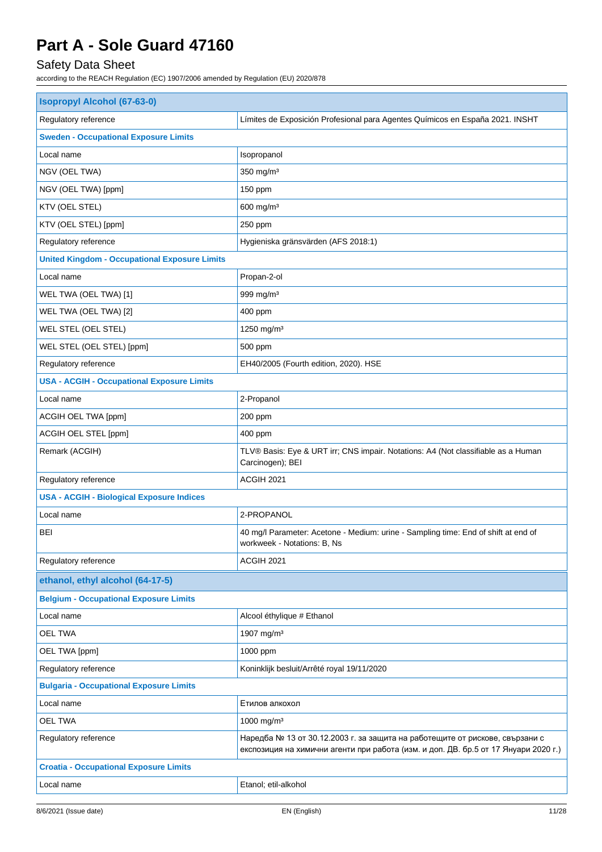## Safety Data Sheet

| <b>Isopropyl Alcohol (67-63-0)</b>                   |                                                                                                                                                                     |  |
|------------------------------------------------------|---------------------------------------------------------------------------------------------------------------------------------------------------------------------|--|
| Regulatory reference                                 | Límites de Exposición Profesional para Agentes Químicos en España 2021. INSHT                                                                                       |  |
| <b>Sweden - Occupational Exposure Limits</b>         |                                                                                                                                                                     |  |
| Local name                                           | Isopropanol                                                                                                                                                         |  |
| NGV (OEL TWA)                                        | $350$ mg/m <sup>3</sup>                                                                                                                                             |  |
| NGV (OEL TWA) [ppm]                                  | 150 ppm                                                                                                                                                             |  |
| KTV (OEL STEL)                                       | 600 mg/m <sup>3</sup>                                                                                                                                               |  |
| KTV (OEL STEL) [ppm]                                 | 250 ppm                                                                                                                                                             |  |
| Regulatory reference                                 | Hygieniska gränsvärden (AFS 2018:1)                                                                                                                                 |  |
| <b>United Kingdom - Occupational Exposure Limits</b> |                                                                                                                                                                     |  |
| Local name                                           | Propan-2-ol                                                                                                                                                         |  |
| WEL TWA (OEL TWA) [1]                                | 999 mg/m <sup>3</sup>                                                                                                                                               |  |
| WEL TWA (OEL TWA) [2]                                | 400 ppm                                                                                                                                                             |  |
| WEL STEL (OEL STEL)                                  | 1250 mg/m <sup>3</sup>                                                                                                                                              |  |
| WEL STEL (OEL STEL) [ppm]                            | 500 ppm                                                                                                                                                             |  |
| Regulatory reference                                 | EH40/2005 (Fourth edition, 2020). HSE                                                                                                                               |  |
| <b>USA - ACGIH - Occupational Exposure Limits</b>    |                                                                                                                                                                     |  |
| Local name                                           | 2-Propanol                                                                                                                                                          |  |
| ACGIH OEL TWA [ppm]                                  | 200 ppm                                                                                                                                                             |  |
| ACGIH OEL STEL [ppm]                                 | 400 ppm                                                                                                                                                             |  |
| Remark (ACGIH)                                       | TLV® Basis: Eye & URT irr; CNS impair. Notations: A4 (Not classifiable as a Human<br>Carcinogen); BEI                                                               |  |
| Regulatory reference                                 | ACGIH 2021                                                                                                                                                          |  |
| <b>USA - ACGIH - Biological Exposure Indices</b>     |                                                                                                                                                                     |  |
| Local name                                           | 2-PROPANOL                                                                                                                                                          |  |
| <b>BEI</b>                                           | 40 mg/l Parameter: Acetone - Medium: urine - Sampling time: End of shift at end of<br>workweek - Notations: B, Ns                                                   |  |
| Regulatory reference                                 | ACGIH 2021                                                                                                                                                          |  |
| ethanol, ethyl alcohol (64-17-5)                     |                                                                                                                                                                     |  |
| <b>Belgium - Occupational Exposure Limits</b>        |                                                                                                                                                                     |  |
| Local name                                           | Alcool éthylique # Ethanol                                                                                                                                          |  |
| <b>OEL TWA</b>                                       | 1907 mg/m <sup>3</sup>                                                                                                                                              |  |
| OEL TWA [ppm]                                        | 1000 ppm                                                                                                                                                            |  |
| Regulatory reference                                 | Koninklijk besluit/Arrêté royal 19/11/2020                                                                                                                          |  |
| <b>Bulgaria - Occupational Exposure Limits</b>       |                                                                                                                                                                     |  |
| Local name                                           | Етилов алкохол                                                                                                                                                      |  |
| <b>OEL TWA</b>                                       | 1000 mg/m <sup>3</sup>                                                                                                                                              |  |
| Regulatory reference                                 | Наредба № 13 от 30.12.2003 г. за защита на работещите от рискове, свързани с<br>експозиция на химични агенти при работа (изм. и доп. ДВ. бр.5 от 17 Януари 2020 г.) |  |
| <b>Croatia - Occupational Exposure Limits</b>        |                                                                                                                                                                     |  |
| Local name                                           | Etanol; etil-alkohol                                                                                                                                                |  |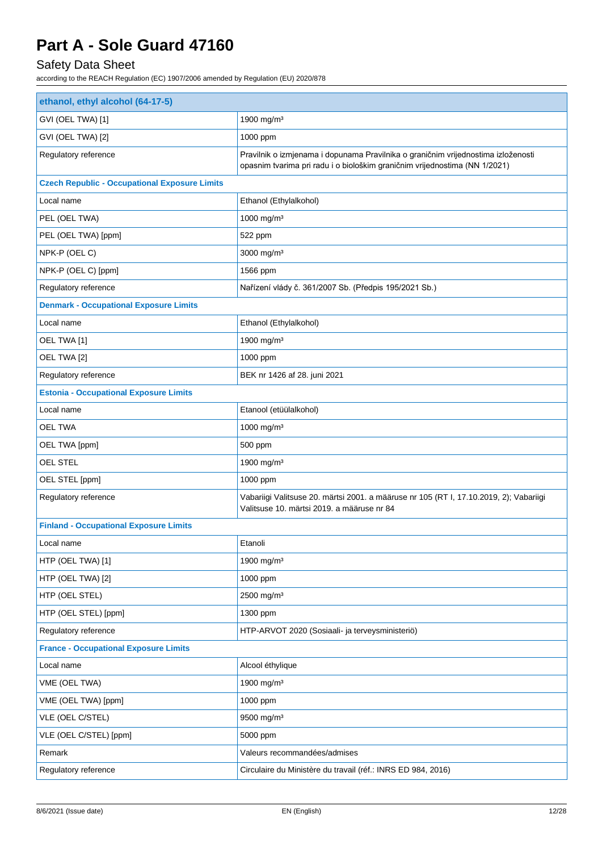## Safety Data Sheet

| ethanol, ethyl alcohol (64-17-5)                     |                                                                                                                                                                 |  |
|------------------------------------------------------|-----------------------------------------------------------------------------------------------------------------------------------------------------------------|--|
| GVI (OEL TWA) [1]                                    | 1900 mg/m <sup>3</sup>                                                                                                                                          |  |
| GVI (OEL TWA) [2]                                    | 1000 ppm                                                                                                                                                        |  |
| Regulatory reference                                 | Pravilnik o izmjenama i dopunama Pravilnika o graničnim vrijednostima izloženosti<br>opasnim tvarima pri radu i o biološkim graničnim vrijednostima (NN 1/2021) |  |
| <b>Czech Republic - Occupational Exposure Limits</b> |                                                                                                                                                                 |  |
| Local name                                           | Ethanol (Ethylalkohol)                                                                                                                                          |  |
| PEL (OEL TWA)                                        | 1000 mg/m <sup>3</sup>                                                                                                                                          |  |
| PEL (OEL TWA) [ppm]                                  | 522 ppm                                                                                                                                                         |  |
| NPK-P (OEL C)                                        | 3000 mg/m <sup>3</sup>                                                                                                                                          |  |
| NPK-P (OEL C) [ppm]                                  | 1566 ppm                                                                                                                                                        |  |
| Regulatory reference                                 | Nařízení vlády č. 361/2007 Sb. (Předpis 195/2021 Sb.)                                                                                                           |  |
| <b>Denmark - Occupational Exposure Limits</b>        |                                                                                                                                                                 |  |
| Local name                                           | Ethanol (Ethylalkohol)                                                                                                                                          |  |
| OEL TWA [1]                                          | 1900 mg/m <sup>3</sup>                                                                                                                                          |  |
| OEL TWA [2]                                          | 1000 ppm                                                                                                                                                        |  |
| Regulatory reference                                 | BEK nr 1426 af 28. juni 2021                                                                                                                                    |  |
| <b>Estonia - Occupational Exposure Limits</b>        |                                                                                                                                                                 |  |
| Local name                                           | Etanool (etüülalkohol)                                                                                                                                          |  |
| OEL TWA                                              | 1000 mg/m <sup>3</sup>                                                                                                                                          |  |
| OEL TWA [ppm]                                        | 500 ppm                                                                                                                                                         |  |
| OEL STEL                                             | 1900 mg/m <sup>3</sup>                                                                                                                                          |  |
| OEL STEL [ppm]                                       | 1000 ppm                                                                                                                                                        |  |
| Regulatory reference                                 | Vabariigi Valitsuse 20. märtsi 2001. a määruse nr 105 (RT I, 17.10.2019, 2); Vabariigi<br>Valitsuse 10. märtsi 2019, a määruse nr 84                            |  |
| <b>Finland - Occupational Exposure Limits</b>        |                                                                                                                                                                 |  |
| Local name                                           | Etanoli                                                                                                                                                         |  |
| HTP (OEL TWA) [1]                                    | 1900 mg/m <sup>3</sup>                                                                                                                                          |  |
| HTP (OEL TWA) [2]                                    | 1000 ppm                                                                                                                                                        |  |
| HTP (OEL STEL)                                       | 2500 mg/m <sup>3</sup>                                                                                                                                          |  |
| HTP (OEL STEL) [ppm]                                 | 1300 ppm                                                                                                                                                        |  |
| Regulatory reference                                 | HTP-ARVOT 2020 (Sosiaali- ja terveysministeriö)                                                                                                                 |  |
| <b>France - Occupational Exposure Limits</b>         |                                                                                                                                                                 |  |
| Local name                                           | Alcool éthylique                                                                                                                                                |  |
| VME (OEL TWA)                                        | 1900 mg/m <sup>3</sup>                                                                                                                                          |  |
| VME (OEL TWA) [ppm]                                  | 1000 ppm                                                                                                                                                        |  |
| VLE (OEL C/STEL)                                     | 9500 mg/m <sup>3</sup>                                                                                                                                          |  |
| VLE (OEL C/STEL) [ppm]                               | 5000 ppm                                                                                                                                                        |  |
| Remark                                               | Valeurs recommandées/admises                                                                                                                                    |  |
| Regulatory reference                                 | Circulaire du Ministère du travail (réf.: INRS ED 984, 2016)                                                                                                    |  |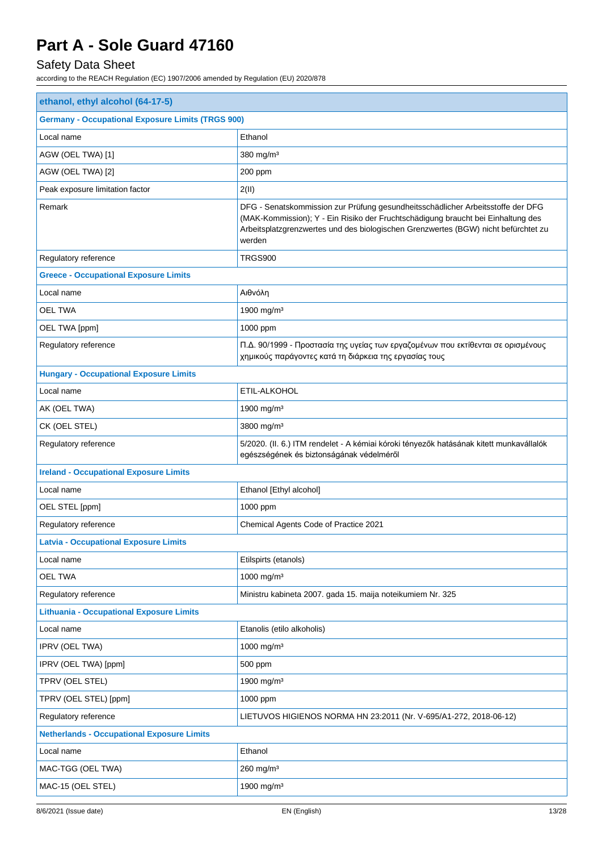## Safety Data Sheet

| ethanol, ethyl alcohol (64-17-5)                         |                                                                                                                                                                                                                                                                     |  |
|----------------------------------------------------------|---------------------------------------------------------------------------------------------------------------------------------------------------------------------------------------------------------------------------------------------------------------------|--|
| <b>Germany - Occupational Exposure Limits (TRGS 900)</b> |                                                                                                                                                                                                                                                                     |  |
| Local name                                               | Ethanol                                                                                                                                                                                                                                                             |  |
| AGW (OEL TWA) [1]                                        | 380 mg/m <sup>3</sup>                                                                                                                                                                                                                                               |  |
| AGW (OEL TWA) [2]                                        | 200 ppm                                                                                                                                                                                                                                                             |  |
| Peak exposure limitation factor                          | 2(II)                                                                                                                                                                                                                                                               |  |
| Remark                                                   | DFG - Senatskommission zur Prüfung gesundheitsschädlicher Arbeitsstoffe der DFG<br>(MAK-Kommission); Y - Ein Risiko der Fruchtschädigung braucht bei Einhaltung des<br>Arbeitsplatzgrenzwertes und des biologischen Grenzwertes (BGW) nicht befürchtet zu<br>werden |  |
| Regulatory reference                                     | TRGS900                                                                                                                                                                                                                                                             |  |
| <b>Greece - Occupational Exposure Limits</b>             |                                                                                                                                                                                                                                                                     |  |
| Local name                                               | Αιθνόλη                                                                                                                                                                                                                                                             |  |
| <b>OEL TWA</b>                                           | 1900 mg/m <sup>3</sup>                                                                                                                                                                                                                                              |  |
| OEL TWA [ppm]                                            | 1000 ppm                                                                                                                                                                                                                                                            |  |
| Regulatory reference                                     | Π.Δ. 90/1999 - Προστασία της υγείας των εργαζομένων που εκτίθενται σε ορισμένους<br>χημικούς παράγοντες κατά τη διάρκεια της εργασίας τους                                                                                                                          |  |
| <b>Hungary - Occupational Exposure Limits</b>            |                                                                                                                                                                                                                                                                     |  |
| Local name                                               | ETIL-ALKOHOL                                                                                                                                                                                                                                                        |  |
| AK (OEL TWA)                                             | 1900 mg/m <sup>3</sup>                                                                                                                                                                                                                                              |  |
| CK (OEL STEL)                                            | 3800 mg/m <sup>3</sup>                                                                                                                                                                                                                                              |  |
| Regulatory reference                                     | 5/2020. (II. 6.) ITM rendelet - A kémiai kóroki tényezők hatásának kitett munkavállalók<br>egészségének és biztonságának védelméről                                                                                                                                 |  |
| <b>Ireland - Occupational Exposure Limits</b>            |                                                                                                                                                                                                                                                                     |  |
| Local name                                               | Ethanol [Ethyl alcohol]                                                                                                                                                                                                                                             |  |
| OEL STEL [ppm]                                           | 1000 ppm                                                                                                                                                                                                                                                            |  |
| Regulatory reference                                     | Chemical Agents Code of Practice 2021                                                                                                                                                                                                                               |  |
| <b>Latvia - Occupational Exposure Limits</b>             |                                                                                                                                                                                                                                                                     |  |
| Local name                                               | Etilspirts (etanols)                                                                                                                                                                                                                                                |  |
| <b>OEL TWA</b>                                           | 1000 mg/m <sup>3</sup>                                                                                                                                                                                                                                              |  |
| Regulatory reference                                     | Ministru kabineta 2007. gada 15. maija noteikumiem Nr. 325                                                                                                                                                                                                          |  |
| <b>Lithuania - Occupational Exposure Limits</b>          |                                                                                                                                                                                                                                                                     |  |
| Local name                                               | Etanolis (etilo alkoholis)                                                                                                                                                                                                                                          |  |
| IPRV (OEL TWA)                                           | 1000 mg/m <sup>3</sup>                                                                                                                                                                                                                                              |  |
| IPRV (OEL TWA) [ppm]                                     | 500 ppm                                                                                                                                                                                                                                                             |  |
| TPRV (OEL STEL)                                          | 1900 mg/m <sup>3</sup>                                                                                                                                                                                                                                              |  |
| TPRV (OEL STEL) [ppm]                                    | 1000 ppm                                                                                                                                                                                                                                                            |  |
| Regulatory reference                                     | LIETUVOS HIGIENOS NORMA HN 23:2011 (Nr. V-695/A1-272, 2018-06-12)                                                                                                                                                                                                   |  |
| <b>Netherlands - Occupational Exposure Limits</b>        |                                                                                                                                                                                                                                                                     |  |
| Local name                                               | Ethanol                                                                                                                                                                                                                                                             |  |
| MAC-TGG (OEL TWA)                                        | $260$ mg/m <sup>3</sup>                                                                                                                                                                                                                                             |  |
| MAC-15 (OEL STEL)                                        | 1900 mg/m <sup>3</sup>                                                                                                                                                                                                                                              |  |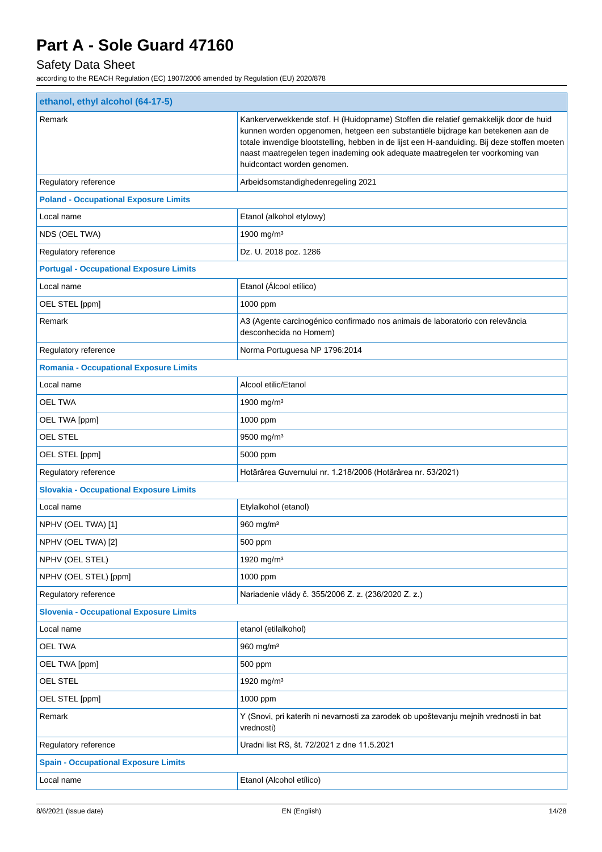## Safety Data Sheet

| Remark<br>Kankerverwekkende stof. H (Huidopname) Stoffen die relatief gemakkelijk door de huid<br>kunnen worden opgenomen, hetgeen een substantiële bijdrage kan betekenen aan de<br>totale inwendige blootstelling, hebben in de lijst een H-aanduiding. Bij deze stoffen moeten<br>naast maatregelen tegen inademing ook adequate maatregelen ter voorkoming van<br>huidcontact worden genomen.<br>Regulatory reference<br>Arbeidsomstandighedenregeling 2021<br><b>Poland - Occupational Exposure Limits</b><br>Local name<br>Etanol (alkohol etylowy)<br>NDS (OEL TWA)<br>1900 mg/m <sup>3</sup><br>Regulatory reference<br>Dz. U. 2018 poz. 1286<br><b>Portugal - Occupational Exposure Limits</b><br>Etanol (Álcool etílico)<br>Local name<br>OEL STEL [ppm]<br>1000 ppm<br>Remark<br>A3 (Agente carcinogénico confirmado nos animais de laboratorio con relevância<br>desconhecida no Homem)<br>Regulatory reference<br>Norma Portuguesa NP 1796:2014<br><b>Romania - Occupational Exposure Limits</b><br>Alcool etilic/Etanol<br>Local name<br><b>OEL TWA</b><br>1900 mg/m <sup>3</sup><br>OEL TWA [ppm]<br>1000 ppm<br><b>OEL STEL</b><br>9500 mg/m <sup>3</sup><br>OEL STEL [ppm]<br>5000 ppm<br>Regulatory reference<br>Hotărârea Guvernului nr. 1.218/2006 (Hotărârea nr. 53/2021)<br><b>Slovakia - Occupational Exposure Limits</b><br>Local name<br>Etylalkohol (etanol)<br>NPHV (OEL TWA) [1]<br>$960$ mg/m <sup>3</sup><br>NPHV (OEL TWA) [2]<br>500 ppm<br>NPHV (OEL STEL)<br>1920 mg/m <sup>3</sup><br>NPHV (OEL STEL) [ppm]<br>1000 ppm<br>Regulatory reference<br>Nariadenie vlády č. 355/2006 Z. z. (236/2020 Z. z.)<br><b>Slovenia - Occupational Exposure Limits</b><br>Local name<br>etanol (etilalkohol)<br><b>OEL TWA</b><br>960 mg/m <sup>3</sup><br>OEL TWA [ppm]<br>500 ppm<br><b>OEL STEL</b><br>1920 mg/m <sup>3</sup><br>OEL STEL [ppm]<br>1000 ppm<br>Remark<br>Y (Snovi, pri katerih ni nevarnosti za zarodek ob upoštevanju mejnih vrednosti in bat<br>vrednosti)<br>Regulatory reference<br>Uradni list RS, št. 72/2021 z dne 11.5.2021<br><b>Spain - Occupational Exposure Limits</b><br>Etanol (Alcohol etílico)<br>Local name | ethanol, ethyl alcohol (64-17-5) |  |  |
|----------------------------------------------------------------------------------------------------------------------------------------------------------------------------------------------------------------------------------------------------------------------------------------------------------------------------------------------------------------------------------------------------------------------------------------------------------------------------------------------------------------------------------------------------------------------------------------------------------------------------------------------------------------------------------------------------------------------------------------------------------------------------------------------------------------------------------------------------------------------------------------------------------------------------------------------------------------------------------------------------------------------------------------------------------------------------------------------------------------------------------------------------------------------------------------------------------------------------------------------------------------------------------------------------------------------------------------------------------------------------------------------------------------------------------------------------------------------------------------------------------------------------------------------------------------------------------------------------------------------------------------------------------------------------------------------------------------------------------------------------------------------------------------------------------------------------------------------------------------------------------------------------------------------------------------------------------------------------------------------------------------------------------------------------------------------------------------------------------------------------------------------------------------------|----------------------------------|--|--|
|                                                                                                                                                                                                                                                                                                                                                                                                                                                                                                                                                                                                                                                                                                                                                                                                                                                                                                                                                                                                                                                                                                                                                                                                                                                                                                                                                                                                                                                                                                                                                                                                                                                                                                                                                                                                                                                                                                                                                                                                                                                                                                                                                                      |                                  |  |  |
|                                                                                                                                                                                                                                                                                                                                                                                                                                                                                                                                                                                                                                                                                                                                                                                                                                                                                                                                                                                                                                                                                                                                                                                                                                                                                                                                                                                                                                                                                                                                                                                                                                                                                                                                                                                                                                                                                                                                                                                                                                                                                                                                                                      |                                  |  |  |
|                                                                                                                                                                                                                                                                                                                                                                                                                                                                                                                                                                                                                                                                                                                                                                                                                                                                                                                                                                                                                                                                                                                                                                                                                                                                                                                                                                                                                                                                                                                                                                                                                                                                                                                                                                                                                                                                                                                                                                                                                                                                                                                                                                      |                                  |  |  |
|                                                                                                                                                                                                                                                                                                                                                                                                                                                                                                                                                                                                                                                                                                                                                                                                                                                                                                                                                                                                                                                                                                                                                                                                                                                                                                                                                                                                                                                                                                                                                                                                                                                                                                                                                                                                                                                                                                                                                                                                                                                                                                                                                                      |                                  |  |  |
|                                                                                                                                                                                                                                                                                                                                                                                                                                                                                                                                                                                                                                                                                                                                                                                                                                                                                                                                                                                                                                                                                                                                                                                                                                                                                                                                                                                                                                                                                                                                                                                                                                                                                                                                                                                                                                                                                                                                                                                                                                                                                                                                                                      |                                  |  |  |
|                                                                                                                                                                                                                                                                                                                                                                                                                                                                                                                                                                                                                                                                                                                                                                                                                                                                                                                                                                                                                                                                                                                                                                                                                                                                                                                                                                                                                                                                                                                                                                                                                                                                                                                                                                                                                                                                                                                                                                                                                                                                                                                                                                      |                                  |  |  |
|                                                                                                                                                                                                                                                                                                                                                                                                                                                                                                                                                                                                                                                                                                                                                                                                                                                                                                                                                                                                                                                                                                                                                                                                                                                                                                                                                                                                                                                                                                                                                                                                                                                                                                                                                                                                                                                                                                                                                                                                                                                                                                                                                                      |                                  |  |  |
|                                                                                                                                                                                                                                                                                                                                                                                                                                                                                                                                                                                                                                                                                                                                                                                                                                                                                                                                                                                                                                                                                                                                                                                                                                                                                                                                                                                                                                                                                                                                                                                                                                                                                                                                                                                                                                                                                                                                                                                                                                                                                                                                                                      |                                  |  |  |
|                                                                                                                                                                                                                                                                                                                                                                                                                                                                                                                                                                                                                                                                                                                                                                                                                                                                                                                                                                                                                                                                                                                                                                                                                                                                                                                                                                                                                                                                                                                                                                                                                                                                                                                                                                                                                                                                                                                                                                                                                                                                                                                                                                      |                                  |  |  |
|                                                                                                                                                                                                                                                                                                                                                                                                                                                                                                                                                                                                                                                                                                                                                                                                                                                                                                                                                                                                                                                                                                                                                                                                                                                                                                                                                                                                                                                                                                                                                                                                                                                                                                                                                                                                                                                                                                                                                                                                                                                                                                                                                                      |                                  |  |  |
|                                                                                                                                                                                                                                                                                                                                                                                                                                                                                                                                                                                                                                                                                                                                                                                                                                                                                                                                                                                                                                                                                                                                                                                                                                                                                                                                                                                                                                                                                                                                                                                                                                                                                                                                                                                                                                                                                                                                                                                                                                                                                                                                                                      |                                  |  |  |
|                                                                                                                                                                                                                                                                                                                                                                                                                                                                                                                                                                                                                                                                                                                                                                                                                                                                                                                                                                                                                                                                                                                                                                                                                                                                                                                                                                                                                                                                                                                                                                                                                                                                                                                                                                                                                                                                                                                                                                                                                                                                                                                                                                      |                                  |  |  |
|                                                                                                                                                                                                                                                                                                                                                                                                                                                                                                                                                                                                                                                                                                                                                                                                                                                                                                                                                                                                                                                                                                                                                                                                                                                                                                                                                                                                                                                                                                                                                                                                                                                                                                                                                                                                                                                                                                                                                                                                                                                                                                                                                                      |                                  |  |  |
|                                                                                                                                                                                                                                                                                                                                                                                                                                                                                                                                                                                                                                                                                                                                                                                                                                                                                                                                                                                                                                                                                                                                                                                                                                                                                                                                                                                                                                                                                                                                                                                                                                                                                                                                                                                                                                                                                                                                                                                                                                                                                                                                                                      |                                  |  |  |
|                                                                                                                                                                                                                                                                                                                                                                                                                                                                                                                                                                                                                                                                                                                                                                                                                                                                                                                                                                                                                                                                                                                                                                                                                                                                                                                                                                                                                                                                                                                                                                                                                                                                                                                                                                                                                                                                                                                                                                                                                                                                                                                                                                      |                                  |  |  |
|                                                                                                                                                                                                                                                                                                                                                                                                                                                                                                                                                                                                                                                                                                                                                                                                                                                                                                                                                                                                                                                                                                                                                                                                                                                                                                                                                                                                                                                                                                                                                                                                                                                                                                                                                                                                                                                                                                                                                                                                                                                                                                                                                                      |                                  |  |  |
|                                                                                                                                                                                                                                                                                                                                                                                                                                                                                                                                                                                                                                                                                                                                                                                                                                                                                                                                                                                                                                                                                                                                                                                                                                                                                                                                                                                                                                                                                                                                                                                                                                                                                                                                                                                                                                                                                                                                                                                                                                                                                                                                                                      |                                  |  |  |
|                                                                                                                                                                                                                                                                                                                                                                                                                                                                                                                                                                                                                                                                                                                                                                                                                                                                                                                                                                                                                                                                                                                                                                                                                                                                                                                                                                                                                                                                                                                                                                                                                                                                                                                                                                                                                                                                                                                                                                                                                                                                                                                                                                      |                                  |  |  |
|                                                                                                                                                                                                                                                                                                                                                                                                                                                                                                                                                                                                                                                                                                                                                                                                                                                                                                                                                                                                                                                                                                                                                                                                                                                                                                                                                                                                                                                                                                                                                                                                                                                                                                                                                                                                                                                                                                                                                                                                                                                                                                                                                                      |                                  |  |  |
|                                                                                                                                                                                                                                                                                                                                                                                                                                                                                                                                                                                                                                                                                                                                                                                                                                                                                                                                                                                                                                                                                                                                                                                                                                                                                                                                                                                                                                                                                                                                                                                                                                                                                                                                                                                                                                                                                                                                                                                                                                                                                                                                                                      |                                  |  |  |
|                                                                                                                                                                                                                                                                                                                                                                                                                                                                                                                                                                                                                                                                                                                                                                                                                                                                                                                                                                                                                                                                                                                                                                                                                                                                                                                                                                                                                                                                                                                                                                                                                                                                                                                                                                                                                                                                                                                                                                                                                                                                                                                                                                      |                                  |  |  |
|                                                                                                                                                                                                                                                                                                                                                                                                                                                                                                                                                                                                                                                                                                                                                                                                                                                                                                                                                                                                                                                                                                                                                                                                                                                                                                                                                                                                                                                                                                                                                                                                                                                                                                                                                                                                                                                                                                                                                                                                                                                                                                                                                                      |                                  |  |  |
|                                                                                                                                                                                                                                                                                                                                                                                                                                                                                                                                                                                                                                                                                                                                                                                                                                                                                                                                                                                                                                                                                                                                                                                                                                                                                                                                                                                                                                                                                                                                                                                                                                                                                                                                                                                                                                                                                                                                                                                                                                                                                                                                                                      |                                  |  |  |
|                                                                                                                                                                                                                                                                                                                                                                                                                                                                                                                                                                                                                                                                                                                                                                                                                                                                                                                                                                                                                                                                                                                                                                                                                                                                                                                                                                                                                                                                                                                                                                                                                                                                                                                                                                                                                                                                                                                                                                                                                                                                                                                                                                      |                                  |  |  |
|                                                                                                                                                                                                                                                                                                                                                                                                                                                                                                                                                                                                                                                                                                                                                                                                                                                                                                                                                                                                                                                                                                                                                                                                                                                                                                                                                                                                                                                                                                                                                                                                                                                                                                                                                                                                                                                                                                                                                                                                                                                                                                                                                                      |                                  |  |  |
|                                                                                                                                                                                                                                                                                                                                                                                                                                                                                                                                                                                                                                                                                                                                                                                                                                                                                                                                                                                                                                                                                                                                                                                                                                                                                                                                                                                                                                                                                                                                                                                                                                                                                                                                                                                                                                                                                                                                                                                                                                                                                                                                                                      |                                  |  |  |
|                                                                                                                                                                                                                                                                                                                                                                                                                                                                                                                                                                                                                                                                                                                                                                                                                                                                                                                                                                                                                                                                                                                                                                                                                                                                                                                                                                                                                                                                                                                                                                                                                                                                                                                                                                                                                                                                                                                                                                                                                                                                                                                                                                      |                                  |  |  |
|                                                                                                                                                                                                                                                                                                                                                                                                                                                                                                                                                                                                                                                                                                                                                                                                                                                                                                                                                                                                                                                                                                                                                                                                                                                                                                                                                                                                                                                                                                                                                                                                                                                                                                                                                                                                                                                                                                                                                                                                                                                                                                                                                                      |                                  |  |  |
|                                                                                                                                                                                                                                                                                                                                                                                                                                                                                                                                                                                                                                                                                                                                                                                                                                                                                                                                                                                                                                                                                                                                                                                                                                                                                                                                                                                                                                                                                                                                                                                                                                                                                                                                                                                                                                                                                                                                                                                                                                                                                                                                                                      |                                  |  |  |
|                                                                                                                                                                                                                                                                                                                                                                                                                                                                                                                                                                                                                                                                                                                                                                                                                                                                                                                                                                                                                                                                                                                                                                                                                                                                                                                                                                                                                                                                                                                                                                                                                                                                                                                                                                                                                                                                                                                                                                                                                                                                                                                                                                      |                                  |  |  |
|                                                                                                                                                                                                                                                                                                                                                                                                                                                                                                                                                                                                                                                                                                                                                                                                                                                                                                                                                                                                                                                                                                                                                                                                                                                                                                                                                                                                                                                                                                                                                                                                                                                                                                                                                                                                                                                                                                                                                                                                                                                                                                                                                                      |                                  |  |  |
|                                                                                                                                                                                                                                                                                                                                                                                                                                                                                                                                                                                                                                                                                                                                                                                                                                                                                                                                                                                                                                                                                                                                                                                                                                                                                                                                                                                                                                                                                                                                                                                                                                                                                                                                                                                                                                                                                                                                                                                                                                                                                                                                                                      |                                  |  |  |
|                                                                                                                                                                                                                                                                                                                                                                                                                                                                                                                                                                                                                                                                                                                                                                                                                                                                                                                                                                                                                                                                                                                                                                                                                                                                                                                                                                                                                                                                                                                                                                                                                                                                                                                                                                                                                                                                                                                                                                                                                                                                                                                                                                      |                                  |  |  |
|                                                                                                                                                                                                                                                                                                                                                                                                                                                                                                                                                                                                                                                                                                                                                                                                                                                                                                                                                                                                                                                                                                                                                                                                                                                                                                                                                                                                                                                                                                                                                                                                                                                                                                                                                                                                                                                                                                                                                                                                                                                                                                                                                                      |                                  |  |  |
|                                                                                                                                                                                                                                                                                                                                                                                                                                                                                                                                                                                                                                                                                                                                                                                                                                                                                                                                                                                                                                                                                                                                                                                                                                                                                                                                                                                                                                                                                                                                                                                                                                                                                                                                                                                                                                                                                                                                                                                                                                                                                                                                                                      |                                  |  |  |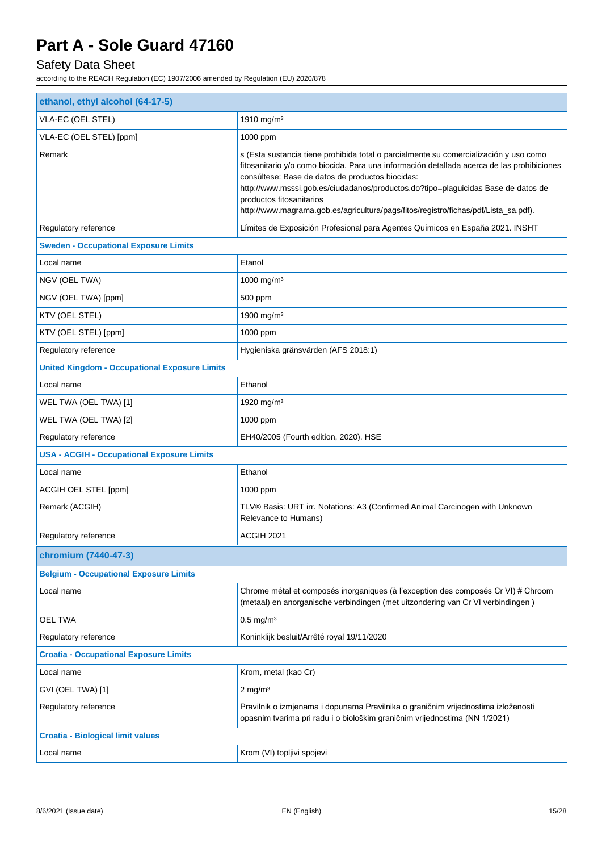## Safety Data Sheet

| ethanol, ethyl alcohol (64-17-5)                     |                                                                                                                                                                                                                                                                                                                                                                                                                                                 |  |
|------------------------------------------------------|-------------------------------------------------------------------------------------------------------------------------------------------------------------------------------------------------------------------------------------------------------------------------------------------------------------------------------------------------------------------------------------------------------------------------------------------------|--|
| VLA-EC (OEL STEL)                                    | 1910 mg/m <sup>3</sup>                                                                                                                                                                                                                                                                                                                                                                                                                          |  |
| VLA-EC (OEL STEL) [ppm]                              | 1000 ppm                                                                                                                                                                                                                                                                                                                                                                                                                                        |  |
| Remark                                               | s (Esta sustancia tiene prohibida total o parcialmente su comercialización y uso como<br>fitosanitario y/o como biocida. Para una información detallada acerca de las prohibiciones<br>consúltese: Base de datos de productos biocidas:<br>http://www.msssi.gob.es/ciudadanos/productos.do?tipo=plaguicidas Base de datos de<br>productos fitosanitarios<br>http://www.magrama.gob.es/agricultura/pags/fitos/registro/fichas/pdf/Lista_sa.pdf). |  |
| Regulatory reference                                 | Límites de Exposición Profesional para Agentes Químicos en España 2021. INSHT                                                                                                                                                                                                                                                                                                                                                                   |  |
| <b>Sweden - Occupational Exposure Limits</b>         |                                                                                                                                                                                                                                                                                                                                                                                                                                                 |  |
| Local name                                           | Etanol                                                                                                                                                                                                                                                                                                                                                                                                                                          |  |
| NGV (OEL TWA)                                        | 1000 mg/m <sup>3</sup>                                                                                                                                                                                                                                                                                                                                                                                                                          |  |
| NGV (OEL TWA) [ppm]                                  | 500 ppm                                                                                                                                                                                                                                                                                                                                                                                                                                         |  |
| KTV (OEL STEL)                                       | 1900 mg/m <sup>3</sup>                                                                                                                                                                                                                                                                                                                                                                                                                          |  |
| KTV (OEL STEL) [ppm]                                 | 1000 ppm                                                                                                                                                                                                                                                                                                                                                                                                                                        |  |
| Regulatory reference                                 | Hygieniska gränsvärden (AFS 2018:1)                                                                                                                                                                                                                                                                                                                                                                                                             |  |
| <b>United Kingdom - Occupational Exposure Limits</b> |                                                                                                                                                                                                                                                                                                                                                                                                                                                 |  |
| Local name                                           | Ethanol                                                                                                                                                                                                                                                                                                                                                                                                                                         |  |
| WEL TWA (OEL TWA) [1]                                | 1920 mg/m <sup>3</sup>                                                                                                                                                                                                                                                                                                                                                                                                                          |  |
| WEL TWA (OEL TWA) [2]                                | 1000 ppm                                                                                                                                                                                                                                                                                                                                                                                                                                        |  |
| Regulatory reference                                 | EH40/2005 (Fourth edition, 2020). HSE                                                                                                                                                                                                                                                                                                                                                                                                           |  |
| <b>USA - ACGIH - Occupational Exposure Limits</b>    |                                                                                                                                                                                                                                                                                                                                                                                                                                                 |  |
| Local name                                           | Ethanol                                                                                                                                                                                                                                                                                                                                                                                                                                         |  |
| ACGIH OEL STEL [ppm]                                 | 1000 ppm                                                                                                                                                                                                                                                                                                                                                                                                                                        |  |
| Remark (ACGIH)                                       | TLV® Basis: URT irr. Notations: A3 (Confirmed Animal Carcinogen with Unknown<br>Relevance to Humans)                                                                                                                                                                                                                                                                                                                                            |  |
| Regulatory reference                                 | ACGIH 2021                                                                                                                                                                                                                                                                                                                                                                                                                                      |  |
| chromium (7440-47-3)                                 |                                                                                                                                                                                                                                                                                                                                                                                                                                                 |  |
| <b>Belgium - Occupational Exposure Limits</b>        |                                                                                                                                                                                                                                                                                                                                                                                                                                                 |  |
| Local name                                           | Chrome métal et composés inorganiques (à l'exception des composés Cr VI) # Chroom<br>(metaal) en anorganische verbindingen (met uitzondering van Cr VI verbindingen)                                                                                                                                                                                                                                                                            |  |
| <b>OEL TWA</b>                                       | $0.5 \text{ mg/m}^3$                                                                                                                                                                                                                                                                                                                                                                                                                            |  |
| Regulatory reference                                 | Koninklijk besluit/Arrêté royal 19/11/2020                                                                                                                                                                                                                                                                                                                                                                                                      |  |
| <b>Croatia - Occupational Exposure Limits</b>        |                                                                                                                                                                                                                                                                                                                                                                                                                                                 |  |
| Local name                                           | Krom, metal (kao Cr)                                                                                                                                                                                                                                                                                                                                                                                                                            |  |
| GVI (OEL TWA) [1]                                    | $2 \text{ mg/m}^3$                                                                                                                                                                                                                                                                                                                                                                                                                              |  |
| Regulatory reference                                 | Pravilnik o izmjenama i dopunama Pravilnika o graničnim vrijednostima izloženosti<br>opasnim tvarima pri radu i o biološkim graničnim vrijednostima (NN 1/2021)                                                                                                                                                                                                                                                                                 |  |
| <b>Croatia - Biological limit values</b>             |                                                                                                                                                                                                                                                                                                                                                                                                                                                 |  |
| Local name                                           | Krom (VI) topljivi spojevi                                                                                                                                                                                                                                                                                                                                                                                                                      |  |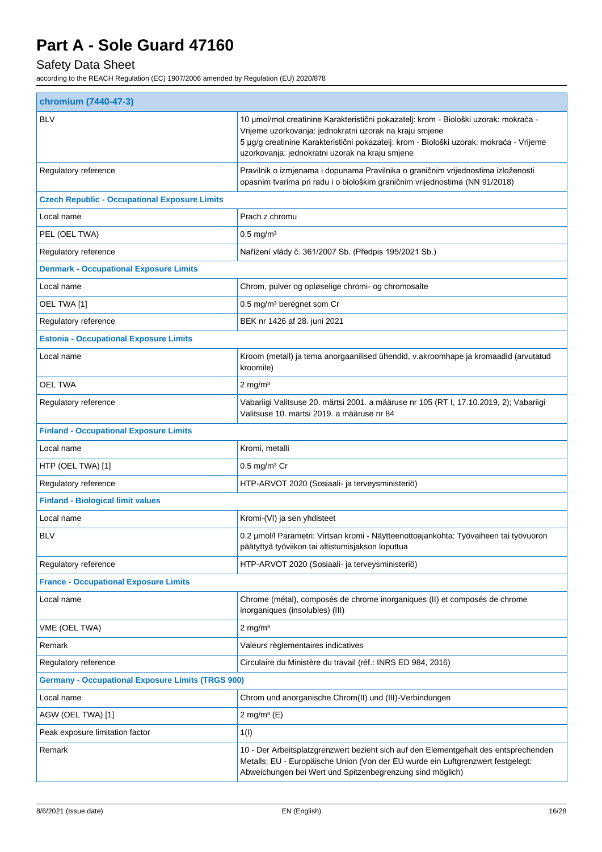## Safety Data Sheet

| chromium (7440-47-3)                                     |                                                                                                                                                                                                                                                                                               |  |
|----------------------------------------------------------|-----------------------------------------------------------------------------------------------------------------------------------------------------------------------------------------------------------------------------------------------------------------------------------------------|--|
| <b>BLV</b>                                               | 10 µmol/mol creatinine Karakteristični pokazatelj: krom - Biološki uzorak: mokraća -<br>Vrijeme uzorkovanja: jednokratni uzorak na kraju smjene<br>5 µg/g creatinine Karakteristični pokazatelj: krom - Biološki uzorak: mokraća - Vrijeme<br>uzorkovanja: jednokratni uzorak na kraju smjene |  |
| Regulatory reference                                     | Pravilnik o izmjenama i dopunama Pravilnika o graničnim vrijednostima izloženosti<br>opasnim tvarima pri radu i o biološkim graničnim vrijednostima (NN 91/2018)                                                                                                                              |  |
| <b>Czech Republic - Occupational Exposure Limits</b>     |                                                                                                                                                                                                                                                                                               |  |
| Local name                                               | Prach z chromu                                                                                                                                                                                                                                                                                |  |
| PEL (OEL TWA)                                            | $0.5$ mg/m <sup>3</sup>                                                                                                                                                                                                                                                                       |  |
| Regulatory reference                                     | Nařízení vlády č. 361/2007 Sb. (Předpis 195/2021 Sb.)                                                                                                                                                                                                                                         |  |
| <b>Denmark - Occupational Exposure Limits</b>            |                                                                                                                                                                                                                                                                                               |  |
| Local name                                               | Chrom, pulver og opløselige chromi- og chromosalte                                                                                                                                                                                                                                            |  |
| OEL TWA [1]                                              | 0.5 mg/m <sup>3</sup> beregnet som Cr                                                                                                                                                                                                                                                         |  |
| Regulatory reference                                     | BEK nr 1426 af 28. juni 2021                                                                                                                                                                                                                                                                  |  |
| <b>Estonia - Occupational Exposure Limits</b>            |                                                                                                                                                                                                                                                                                               |  |
| Local name                                               | Kroom (metall) ja tema anorgaanilised ühendid, v.akroomhape ja kromaadid (arvutatud<br>kroomile)                                                                                                                                                                                              |  |
| <b>OEL TWA</b>                                           | $2$ mg/m <sup>3</sup>                                                                                                                                                                                                                                                                         |  |
| Regulatory reference                                     | Vabariigi Valitsuse 20. märtsi 2001. a määruse nr 105 (RT I, 17.10.2019, 2); Vabariigi<br>Valitsuse 10. märtsi 2019. a määruse nr 84                                                                                                                                                          |  |
| <b>Finland - Occupational Exposure Limits</b>            |                                                                                                                                                                                                                                                                                               |  |
| Local name                                               | Kromi, metalli                                                                                                                                                                                                                                                                                |  |
| HTP (OEL TWA) [1]                                        | $0.5 \text{ mg/m}^3 \text{ Cr}$                                                                                                                                                                                                                                                               |  |
| Regulatory reference                                     | HTP-ARVOT 2020 (Sosiaali- ja terveysministeriö)                                                                                                                                                                                                                                               |  |
| <b>Finland - Biological limit values</b>                 |                                                                                                                                                                                                                                                                                               |  |
| Local name                                               | Kromi-(VI) ja sen yhdisteet                                                                                                                                                                                                                                                                   |  |
| <b>BLV</b>                                               | 0.2 µmol/l Parametri: Virtsan kromi - Näytteenottoajankohta: Työvaiheen tai työvuoron<br>päätyttyä työviikon tai altistumisjakson loputtua                                                                                                                                                    |  |
| Regulatory reference                                     | HTP-ARVOT 2020 (Sosiaali- ja terveysministeriö)                                                                                                                                                                                                                                               |  |
| <b>France - Occupational Exposure Limits</b>             |                                                                                                                                                                                                                                                                                               |  |
| Local name                                               | Chrome (métal), composés de chrome inorganiques (II) et composés de chrome<br>inorganiques (insolubles) (III)                                                                                                                                                                                 |  |
| VME (OEL TWA)                                            | $2$ mg/m <sup>3</sup>                                                                                                                                                                                                                                                                         |  |
| Remark                                                   | Valeurs règlementaires indicatives                                                                                                                                                                                                                                                            |  |
| Regulatory reference                                     | Circulaire du Ministère du travail (réf.: INRS ED 984, 2016)                                                                                                                                                                                                                                  |  |
| <b>Germany - Occupational Exposure Limits (TRGS 900)</b> |                                                                                                                                                                                                                                                                                               |  |
| Local name                                               | Chrom und anorganische Chrom(II) und (III)-Verbindungen                                                                                                                                                                                                                                       |  |
| AGW (OEL TWA) [1]                                        | 2 mg/m <sup>3</sup> $(E)$                                                                                                                                                                                                                                                                     |  |
| Peak exposure limitation factor                          | 1(1)                                                                                                                                                                                                                                                                                          |  |
| Remark                                                   | 10 - Der Arbeitsplatzgrenzwert bezieht sich auf den Elementgehalt des entsprechenden<br>Metalls; EU - Europäische Union (Von der EU wurde ein Luftgrenzwert festgelegt:<br>Abweichungen bei Wert und Spitzenbegrenzung sind möglich)                                                          |  |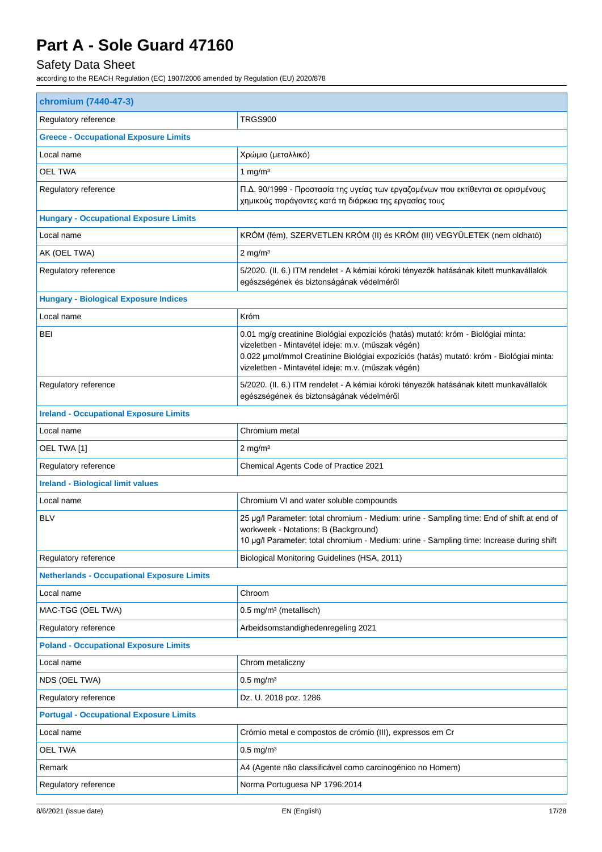## Safety Data Sheet

| chromium (7440-47-3)                              |                                                                                                                                                                                                                                                                                          |  |
|---------------------------------------------------|------------------------------------------------------------------------------------------------------------------------------------------------------------------------------------------------------------------------------------------------------------------------------------------|--|
| Regulatory reference                              | <b>TRGS900</b>                                                                                                                                                                                                                                                                           |  |
| <b>Greece - Occupational Exposure Limits</b>      |                                                                                                                                                                                                                                                                                          |  |
| Local name                                        | Χρώμιο (μεταλλικό)                                                                                                                                                                                                                                                                       |  |
| OEL TWA                                           | 1 mg/ $m3$                                                                                                                                                                                                                                                                               |  |
| Regulatory reference                              | Π.Δ. 90/1999 - Προστασία της υγείας των εργαζομένων που εκτίθενται σε ορισμένους<br>χημικούς παράγοντες κατά τη διάρκεια της εργασίας τους                                                                                                                                               |  |
| <b>Hungary - Occupational Exposure Limits</b>     |                                                                                                                                                                                                                                                                                          |  |
| Local name                                        | KRÓM (fém), SZERVETLEN KRÓM (II) és KRÓM (III) VEGYÜLETEK (nem oldható)                                                                                                                                                                                                                  |  |
| AK (OEL TWA)                                      | $2$ mg/m <sup>3</sup>                                                                                                                                                                                                                                                                    |  |
| Regulatory reference                              | 5/2020. (II. 6.) ITM rendelet - A kémiai kóroki tényezők hatásának kitett munkavállalók<br>egészségének és biztonságának védelméről                                                                                                                                                      |  |
| <b>Hungary - Biological Exposure Indices</b>      |                                                                                                                                                                                                                                                                                          |  |
| Local name                                        | Króm                                                                                                                                                                                                                                                                                     |  |
| BEI                                               | 0.01 mg/g creatinine Biológiai expozíciós (hatás) mutató: króm - Biológiai minta:<br>vizeletben - Mintavétel ideje: m.v. (műszak végén)<br>0.022 µmol/mmol Creatinine Biológiai expozíciós (hatás) mutató: króm - Biológiai minta:<br>vizeletben - Mintavétel ideje: m.v. (műszak végén) |  |
| Regulatory reference                              | 5/2020. (II. 6.) ITM rendelet - A kémiai kóroki tényezők hatásának kitett munkavállalók<br>egészségének és biztonságának védelméről                                                                                                                                                      |  |
| <b>Ireland - Occupational Exposure Limits</b>     |                                                                                                                                                                                                                                                                                          |  |
| Local name                                        | Chromium metal                                                                                                                                                                                                                                                                           |  |
| OEL TWA [1]                                       | $2 \text{ mg/m}^3$                                                                                                                                                                                                                                                                       |  |
| Regulatory reference                              | Chemical Agents Code of Practice 2021                                                                                                                                                                                                                                                    |  |
| <b>Ireland - Biological limit values</b>          |                                                                                                                                                                                                                                                                                          |  |
| Local name                                        | Chromium VI and water soluble compounds                                                                                                                                                                                                                                                  |  |
| <b>BLV</b>                                        | 25 µg/l Parameter: total chromium - Medium: urine - Sampling time: End of shift at end of<br>workweek - Notations: B (Background)<br>10 µg/l Parameter: total chromium - Medium: urine - Sampling time: Increase during shift                                                            |  |
| Regulatory reference                              | Biological Monitoring Guidelines (HSA, 2011)                                                                                                                                                                                                                                             |  |
| <b>Netherlands - Occupational Exposure Limits</b> |                                                                                                                                                                                                                                                                                          |  |
| Local name                                        | Chroom                                                                                                                                                                                                                                                                                   |  |
| MAC-TGG (OEL TWA)                                 | 0.5 mg/m <sup>3</sup> (metallisch)                                                                                                                                                                                                                                                       |  |
| Regulatory reference                              | Arbeidsomstandighedenregeling 2021                                                                                                                                                                                                                                                       |  |
| <b>Poland - Occupational Exposure Limits</b>      |                                                                                                                                                                                                                                                                                          |  |
| Local name                                        | Chrom metaliczny                                                                                                                                                                                                                                                                         |  |
| NDS (OEL TWA)                                     | $0.5$ mg/m <sup>3</sup>                                                                                                                                                                                                                                                                  |  |
| Regulatory reference                              | Dz. U. 2018 poz. 1286                                                                                                                                                                                                                                                                    |  |
| <b>Portugal - Occupational Exposure Limits</b>    |                                                                                                                                                                                                                                                                                          |  |
| Local name                                        | Crómio metal e compostos de crómio (III), expressos em Cr                                                                                                                                                                                                                                |  |
| <b>OEL TWA</b>                                    | $0.5$ mg/m <sup>3</sup>                                                                                                                                                                                                                                                                  |  |
| Remark                                            | A4 (Agente não classificável como carcinogénico no Homem)                                                                                                                                                                                                                                |  |
| Regulatory reference                              | Norma Portuguesa NP 1796:2014                                                                                                                                                                                                                                                            |  |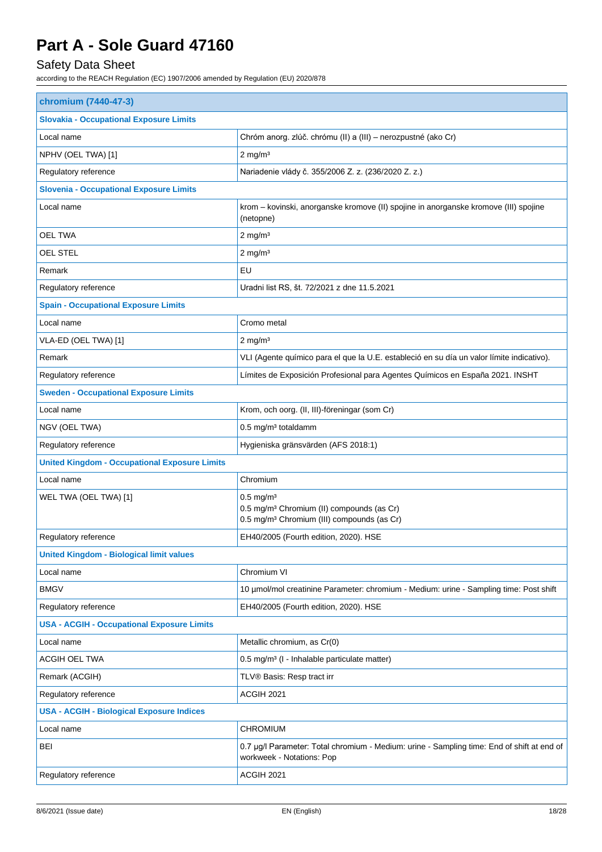## Safety Data Sheet

| chromium (7440-47-3)                                 |                                                                                                                                            |  |  |
|------------------------------------------------------|--------------------------------------------------------------------------------------------------------------------------------------------|--|--|
| <b>Slovakia - Occupational Exposure Limits</b>       |                                                                                                                                            |  |  |
| Local name                                           | Chróm anorg. zlúč. chrómu (II) a (III) – nerozpustné (ako Cr)                                                                              |  |  |
| NPHV (OEL TWA) [1]                                   | $2$ mg/m <sup>3</sup>                                                                                                                      |  |  |
| Regulatory reference                                 | Nariadenie vlády č. 355/2006 Z. z. (236/2020 Z. z.)                                                                                        |  |  |
| <b>Slovenia - Occupational Exposure Limits</b>       |                                                                                                                                            |  |  |
| Local name                                           | krom - kovinski, anorganske kromove (II) spojine in anorganske kromove (III) spojine<br>(netopne)                                          |  |  |
| <b>OEL TWA</b>                                       | $2$ mg/m <sup>3</sup>                                                                                                                      |  |  |
| OEL STEL                                             | $2$ mg/m <sup>3</sup>                                                                                                                      |  |  |
| Remark                                               | EU                                                                                                                                         |  |  |
| Regulatory reference                                 | Uradni list RS, št. 72/2021 z dne 11.5.2021                                                                                                |  |  |
| <b>Spain - Occupational Exposure Limits</b>          |                                                                                                                                            |  |  |
| Local name                                           | Cromo metal                                                                                                                                |  |  |
| VLA-ED (OEL TWA) [1]                                 | $2$ mg/m <sup>3</sup>                                                                                                                      |  |  |
| Remark                                               | VLI (Agente químico para el que la U.E. estableció en su día un valor límite indicativo).                                                  |  |  |
| Regulatory reference                                 | Límites de Exposición Profesional para Agentes Químicos en España 2021. INSHT                                                              |  |  |
| <b>Sweden - Occupational Exposure Limits</b>         |                                                                                                                                            |  |  |
| Local name                                           | Krom, och oorg. (II, III)-föreningar (som Cr)                                                                                              |  |  |
| NGV (OEL TWA)                                        | 0.5 mg/m <sup>3</sup> totaldamm                                                                                                            |  |  |
| Regulatory reference                                 | Hygieniska gränsvärden (AFS 2018:1)                                                                                                        |  |  |
| <b>United Kingdom - Occupational Exposure Limits</b> |                                                                                                                                            |  |  |
| Local name                                           | Chromium                                                                                                                                   |  |  |
| WEL TWA (OEL TWA) [1]                                | $0.5$ mg/m <sup>3</sup><br>0.5 mg/m <sup>3</sup> Chromium (II) compounds (as Cr)<br>0.5 mg/m <sup>3</sup> Chromium (III) compounds (as Cr) |  |  |
| Regulatory reference                                 | EH40/2005 (Fourth edition, 2020). HSE                                                                                                      |  |  |
| <b>United Kingdom - Biological limit values</b>      |                                                                                                                                            |  |  |
| Local name                                           | Chromium VI                                                                                                                                |  |  |
| <b>BMGV</b>                                          | 10 µmol/mol creatinine Parameter: chromium - Medium: urine - Sampling time: Post shift                                                     |  |  |
| Regulatory reference                                 | EH40/2005 (Fourth edition, 2020). HSE                                                                                                      |  |  |
| <b>USA - ACGIH - Occupational Exposure Limits</b>    |                                                                                                                                            |  |  |
| Local name                                           | Metallic chromium, as Cr(0)                                                                                                                |  |  |
| ACGIH OEL TWA                                        | 0.5 mg/m <sup>3</sup> (I - Inhalable particulate matter)                                                                                   |  |  |
| Remark (ACGIH)                                       | TLV® Basis: Resp tract irr                                                                                                                 |  |  |
| Regulatory reference                                 | ACGIH 2021                                                                                                                                 |  |  |
| <b>USA - ACGIH - Biological Exposure Indices</b>     |                                                                                                                                            |  |  |
| Local name                                           | <b>CHROMIUM</b>                                                                                                                            |  |  |
| <b>BEI</b>                                           | 0.7 µg/l Parameter: Total chromium - Medium: urine - Sampling time: End of shift at end of<br>workweek - Notations: Pop                    |  |  |
| Regulatory reference                                 | ACGIH 2021                                                                                                                                 |  |  |
|                                                      |                                                                                                                                            |  |  |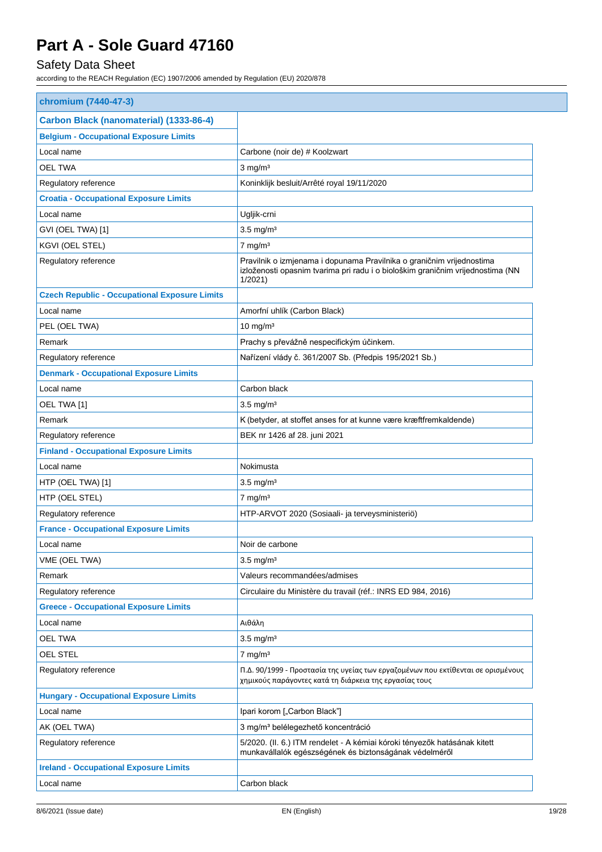## Safety Data Sheet

| chromium (7440-47-3)                                 |                                                                                                                                                                   |
|------------------------------------------------------|-------------------------------------------------------------------------------------------------------------------------------------------------------------------|
| Carbon Black (nanomaterial) (1333-86-4)              |                                                                                                                                                                   |
| <b>Belgium - Occupational Exposure Limits</b>        |                                                                                                                                                                   |
| Local name                                           | Carbone (noir de) # Koolzwart                                                                                                                                     |
| <b>OEL TWA</b>                                       | $3$ mg/m <sup>3</sup>                                                                                                                                             |
| Regulatory reference                                 | Koninklijk besluit/Arrêté royal 19/11/2020                                                                                                                        |
| <b>Croatia - Occupational Exposure Limits</b>        |                                                                                                                                                                   |
| Local name                                           | Ugljik-crni                                                                                                                                                       |
| GVI (OEL TWA) [1]                                    | $3.5 \text{ mg/m}^3$                                                                                                                                              |
| KGVI (OEL STEL)                                      | $7$ mg/m <sup>3</sup>                                                                                                                                             |
| Regulatory reference                                 | Pravilnik o izmjenama i dopunama Pravilnika o graničnim vrijednostima<br>izloženosti opasnim tvarima pri radu i o biološkim graničnim vrijednostima (NN<br>1/2021 |
| <b>Czech Republic - Occupational Exposure Limits</b> |                                                                                                                                                                   |
| Local name                                           | Amorfní uhlík (Carbon Black)                                                                                                                                      |
| PEL (OEL TWA)                                        | $10 \text{ mg/m}^3$                                                                                                                                               |
| Remark                                               | Prachy s převážně nespecifickým účinkem.                                                                                                                          |
| Regulatory reference                                 | Nařízení vlády č. 361/2007 Sb. (Předpis 195/2021 Sb.)                                                                                                             |
| <b>Denmark - Occupational Exposure Limits</b>        |                                                                                                                                                                   |
| Local name                                           | Carbon black                                                                                                                                                      |
| OEL TWA [1]                                          | $3.5 \text{ mg/m}^3$                                                                                                                                              |
| Remark                                               | K (betyder, at stoffet anses for at kunne være kræftfremkaldende)                                                                                                 |
| Regulatory reference                                 | BEK nr 1426 af 28. juni 2021                                                                                                                                      |
| <b>Finland - Occupational Exposure Limits</b>        |                                                                                                                                                                   |
| Local name                                           | Nokimusta                                                                                                                                                         |
| HTP (OEL TWA) [1]                                    | $3.5 \text{ mg/m}^3$                                                                                                                                              |
| HTP (OEL STEL)                                       | $7$ mg/m <sup>3</sup>                                                                                                                                             |
| Regulatory reference                                 | HTP-ARVOT 2020 (Sosiaali- ja terveysministeriö)                                                                                                                   |
| <b>France - Occupational Exposure Limits</b>         |                                                                                                                                                                   |
| Local name                                           | Noir de carbone                                                                                                                                                   |
| VME (OEL TWA)                                        | $3.5$ mg/m <sup>3</sup>                                                                                                                                           |
| Remark                                               | Valeurs recommandées/admises                                                                                                                                      |
| Regulatory reference                                 | Circulaire du Ministère du travail (réf.: INRS ED 984, 2016)                                                                                                      |
| <b>Greece - Occupational Exposure Limits</b>         |                                                                                                                                                                   |
| Local name                                           | Αιθάλη                                                                                                                                                            |
| <b>OEL TWA</b>                                       | $3.5$ mg/m <sup>3</sup>                                                                                                                                           |
| <b>OEL STEL</b>                                      | $7$ mg/m <sup>3</sup>                                                                                                                                             |
| Regulatory reference                                 | Π.Δ. 90/1999 - Προστασία της υγείας των εργαζομένων που εκτίθενται σε ορισμένους<br>χημικούς παράγοντες κατά τη διάρκεια της εργασίας τους                        |
| <b>Hungary - Occupational Exposure Limits</b>        |                                                                                                                                                                   |
| Local name                                           | Ipari korom ["Carbon Black"]                                                                                                                                      |
| AK (OEL TWA)                                         | 3 mg/m <sup>3</sup> belélegezhető koncentráció                                                                                                                    |
| Regulatory reference                                 | 5/2020. (II. 6.) ITM rendelet - A kémiai kóroki tényezők hatásának kitett<br>munkavállalók egészségének és biztonságának védelméről                               |
| <b>Ireland - Occupational Exposure Limits</b>        |                                                                                                                                                                   |
| Local name                                           | Carbon black                                                                                                                                                      |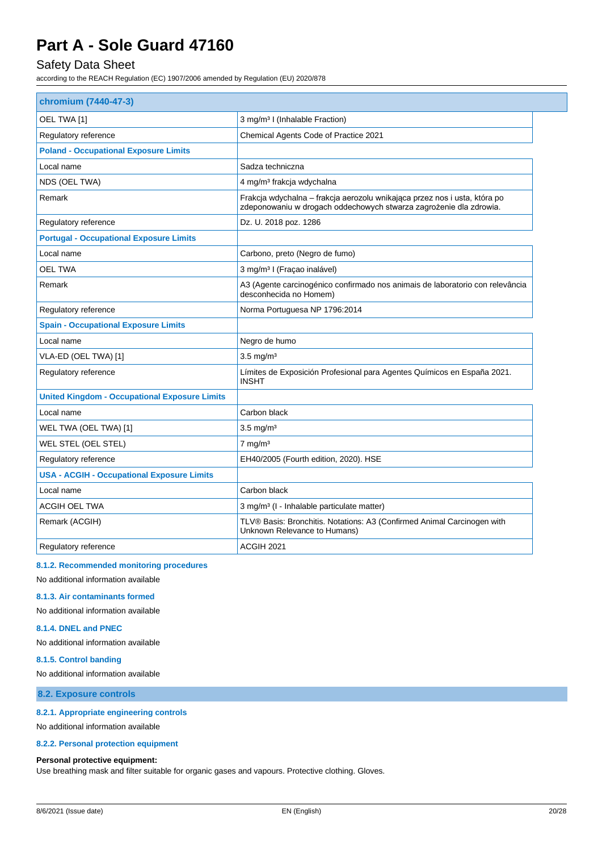### Safety Data Sheet

according to the REACH Regulation (EC) 1907/2006 amended by Regulation (EU) 2020/878

| chromium (7440-47-3)                                 |                                                                                                                                                 |
|------------------------------------------------------|-------------------------------------------------------------------------------------------------------------------------------------------------|
| OEL TWA [1]                                          | 3 mg/m <sup>3</sup> I (Inhalable Fraction)                                                                                                      |
| Regulatory reference                                 | Chemical Agents Code of Practice 2021                                                                                                           |
| <b>Poland - Occupational Exposure Limits</b>         |                                                                                                                                                 |
| Local name                                           | Sadza techniczna                                                                                                                                |
| NDS (OEL TWA)                                        | 4 mg/m <sup>3</sup> frakcja wdychalna                                                                                                           |
| Remark                                               | Frakcja wdychalna - frakcja aerozolu wnikająca przez nos i usta, która po<br>zdeponowaniu w drogach oddechowych stwarza zagrożenie dla zdrowia. |
| Regulatory reference                                 | Dz. U. 2018 poz. 1286                                                                                                                           |
| <b>Portugal - Occupational Exposure Limits</b>       |                                                                                                                                                 |
| Local name                                           | Carbono, preto (Negro de fumo)                                                                                                                  |
| <b>OEL TWA</b>                                       | 3 mg/m <sup>3</sup> I (Fraçao inalável)                                                                                                         |
| Remark                                               | A3 (Agente carcinogénico confirmado nos animais de laboratorio con relevância<br>desconhecida no Homem)                                         |
| Regulatory reference                                 | Norma Portuguesa NP 1796:2014                                                                                                                   |
| <b>Spain - Occupational Exposure Limits</b>          |                                                                                                                                                 |
| Local name                                           | Negro de humo                                                                                                                                   |
| VLA-ED (OEL TWA) [1]                                 | $3.5 \text{ mg/m}^3$                                                                                                                            |
| Regulatory reference                                 | Límites de Exposición Profesional para Agentes Químicos en España 2021.<br><b>INSHT</b>                                                         |
| <b>United Kingdom - Occupational Exposure Limits</b> |                                                                                                                                                 |
| Local name                                           | Carbon black                                                                                                                                    |
| WEL TWA (OEL TWA) [1]                                | $3.5 \text{ mg/m}^3$                                                                                                                            |
| WEL STEL (OEL STEL)                                  | $7 \text{ mg/m}^3$                                                                                                                              |
| Regulatory reference                                 | EH40/2005 (Fourth edition, 2020). HSE                                                                                                           |
| <b>USA - ACGIH - Occupational Exposure Limits</b>    |                                                                                                                                                 |
| Local name                                           | Carbon black                                                                                                                                    |
| ACGIH OEL TWA                                        | 3 mg/m <sup>3</sup> (I - Inhalable particulate matter)                                                                                          |
| Remark (ACGIH)                                       | TLV® Basis: Bronchitis. Notations: A3 (Confirmed Animal Carcinogen with<br>Unknown Relevance to Humans)                                         |
| Regulatory reference                                 | ACGIH 2021                                                                                                                                      |

#### **8.1.2. Recommended monitoring procedures**

No additional information available

#### **8.1.3. Air contaminants formed**

No additional information available

#### **8.1.4. DNEL and PNEC**

No additional information available

#### **8.1.5. Control banding**

No additional information available

### **8.2. Exposure controls**

#### **8.2.1. Appropriate engineering controls**

No additional information available

#### **8.2.2. Personal protection equipment**

#### **Personal protective equipment:**

Use breathing mask and filter suitable for organic gases and vapours. Protective clothing. Gloves.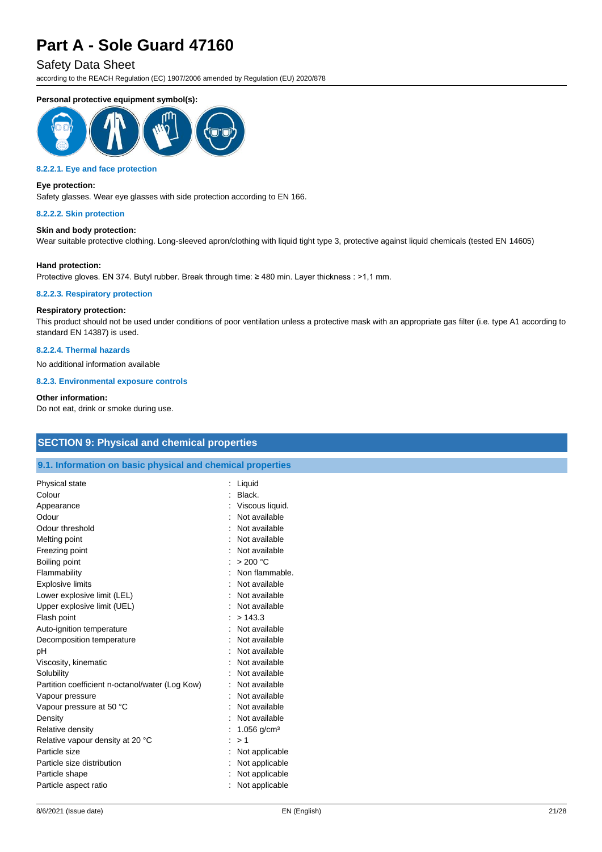#### Safety Data Sheet

according to the REACH Regulation (EC) 1907/2006 amended by Regulation (EU) 2020/878

#### **Personal protective equipment symbol(s):**



#### **8.2.2.1. Eye and face protection**

#### **Eye protection:**

Safety glasses. Wear eye glasses with side protection according to EN 166.

#### **8.2.2.2. Skin protection**

#### **Skin and body protection:**

Wear suitable protective clothing. Long-sleeved apron/clothing with liquid tight type 3, protective against liquid chemicals (tested EN 14605)

#### **Hand protection:**

Protective gloves. EN 374. Butyl rubber. Break through time: ≥ 480 min. Layer thickness : >1,1 mm.

#### **8.2.2.3. Respiratory protection**

#### **Respiratory protection:**

This product should not be used under conditions of poor ventilation unless a protective mask with an appropriate gas filter (i.e. type A1 according to standard EN 14387) is used.

#### **8.2.2.4. Thermal hazards**

No additional information available

#### **8.2.3. Environmental exposure controls**

#### **Other information:**

Do not eat, drink or smoke during use.

| <b>SECTION 9: Physical and chemical properties</b>         |                           |  |  |  |
|------------------------------------------------------------|---------------------------|--|--|--|
| 9.1. Information on basic physical and chemical properties |                           |  |  |  |
| Physical state                                             | : Liquid                  |  |  |  |
| Colour                                                     | Black.                    |  |  |  |
| Appearance                                                 | Viscous liquid.           |  |  |  |
| Odour                                                      | Not available             |  |  |  |
| Odour threshold                                            | Not available             |  |  |  |
| Melting point                                              | : Not available           |  |  |  |
| Freezing point                                             | Not available             |  |  |  |
| Boiling point                                              | : > 200 °C                |  |  |  |
| Flammability                                               | Non flammable.            |  |  |  |
| <b>Explosive limits</b>                                    | Not available             |  |  |  |
| Lower explosive limit (LEL)                                | Not available             |  |  |  |
| Upper explosive limit (UEL)                                | Not available             |  |  |  |
| Flash point                                                | : > 143.3                 |  |  |  |
| Auto-ignition temperature                                  | Not available             |  |  |  |
| Decomposition temperature                                  | Not available             |  |  |  |
| рH                                                         | Not available             |  |  |  |
| Viscosity, kinematic                                       | Not available             |  |  |  |
| Solubility                                                 | Not available             |  |  |  |
| Partition coefficient n-octanol/water (Log Kow)            | Not available             |  |  |  |
| Vapour pressure                                            | Not available             |  |  |  |
| Vapour pressure at 50 °C                                   | Not available             |  |  |  |
| Density                                                    | Not available             |  |  |  |
| Relative density                                           | : 1.056 g/cm <sup>3</sup> |  |  |  |
| Relative vapour density at 20 °C                           | : > 1                     |  |  |  |
| Particle size                                              | Not applicable            |  |  |  |
| Particle size distribution                                 | Not applicable            |  |  |  |
| Particle shape                                             | Not applicable            |  |  |  |
| Particle aspect ratio                                      | Not applicable            |  |  |  |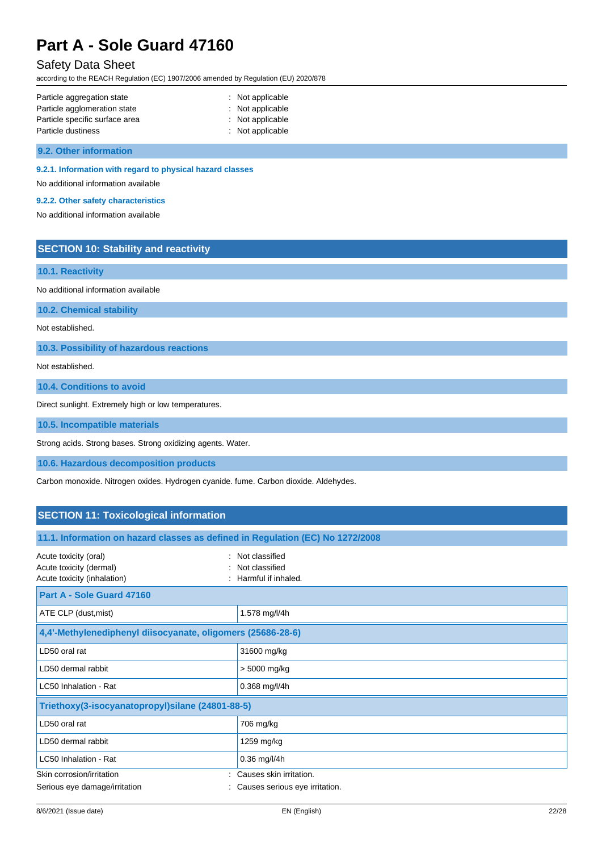### Safety Data Sheet

according to the REACH Regulation (EC) 1907/2006 amended by Regulation (EU) 2020/878

| Particle aggregation state     | : Not applicable   |
|--------------------------------|--------------------|
| Particle agglomeration state   | $:$ Not applicable |
| Particle specific surface area | : Not applicable   |
| Particle dustiness             | : Not applicable   |

**9.2. Other information**

#### **9.2.1. Information with regard to physical hazard classes**

No additional information available

**9.2.2. Other safety characteristics**

No additional information available

### **SECTION 10: Stability and reactivity**

#### **10.1. Reactivity**

No additional information available

**10.2. Chemical stability**

Not established.

**10.3. Possibility of hazardous reactions**

Not established.

**10.4. Conditions to avoid**

Direct sunlight. Extremely high or low temperatures.

**10.5. Incompatible materials**

Strong acids. Strong bases. Strong oxidizing agents. Water.

**10.6. Hazardous decomposition products**

Carbon monoxide. Nitrogen oxides. Hydrogen cyanide. fume. Carbon dioxide. Aldehydes.

### **SECTION 11: Toxicological information**

| 11.1. Information on hazard classes as defined in Regulation (EC) No 1272/2008  |                                                               |  |  |
|---------------------------------------------------------------------------------|---------------------------------------------------------------|--|--|
| Acute toxicity (oral)<br>Acute toxicity (dermal)<br>Acute toxicity (inhalation) | : Not classified<br>: Not classified<br>: Harmful if inhaled. |  |  |
| <b>Part A - Sole Guard 47160</b>                                                |                                                               |  |  |
| ATE CLP (dust, mist)                                                            | 1.578 mg/l/4h                                                 |  |  |
| 4,4'-Methylenediphenyl diisocyanate, oligomers (25686-28-6)                     |                                                               |  |  |
| LD50 oral rat                                                                   | 31600 mg/kg                                                   |  |  |
| LD50 dermal rabbit                                                              | > 5000 mg/kg                                                  |  |  |
| LC50 Inhalation - Rat                                                           | $0.368$ mg/l/4h                                               |  |  |
| Triethoxy(3-isocyanatopropyl)silane (24801-88-5)                                |                                                               |  |  |
| LD50 oral rat                                                                   | 706 mg/kg                                                     |  |  |
| LD50 dermal rabbit                                                              | 1259 mg/kg                                                    |  |  |
| LC50 Inhalation - Rat                                                           | 0.36 mg/l/4h                                                  |  |  |
| Skin corrosion/irritation                                                       | Causes skin irritation.                                       |  |  |
| Serious eye damage/irritation                                                   | : Causes serious eye irritation.                              |  |  |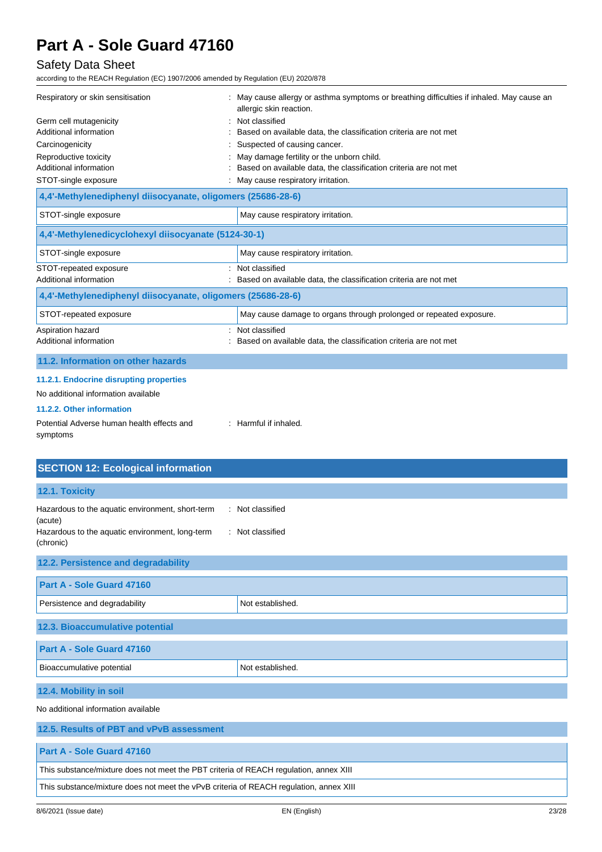### Safety Data Sheet

| Respiratory or skin sensitisation<br>Germ cell mutagenicity | : May cause allergy or asthma symptoms or breathing difficulties if inhaled. May cause an<br>allergic skin reaction.<br>Not classified |  |
|-------------------------------------------------------------|----------------------------------------------------------------------------------------------------------------------------------------|--|
| Additional information                                      | Based on available data, the classification criteria are not met                                                                       |  |
| Carcinogenicity                                             | Suspected of causing cancer.                                                                                                           |  |
| Reproductive toxicity                                       | May damage fertility or the unborn child.                                                                                              |  |
| Additional information                                      | Based on available data, the classification criteria are not met                                                                       |  |
| STOT-single exposure                                        | May cause respiratory irritation.                                                                                                      |  |
| 4,4'-Methylenediphenyl diisocyanate, oligomers (25686-28-6) |                                                                                                                                        |  |
| STOT-single exposure                                        | May cause respiratory irritation.                                                                                                      |  |
| 4,4'-Methylenedicyclohexyl diisocyanate (5124-30-1)         |                                                                                                                                        |  |
| STOT-single exposure                                        | May cause respiratory irritation.                                                                                                      |  |
| STOT-repeated exposure                                      | Not classified                                                                                                                         |  |
| Additional information                                      | Based on available data, the classification criteria are not met                                                                       |  |
| 4,4'-Methylenediphenyl diisocyanate, oligomers (25686-28-6) |                                                                                                                                        |  |
| STOT-repeated exposure                                      | May cause damage to organs through prolonged or repeated exposure.                                                                     |  |
| Aspiration hazard                                           | Not classified                                                                                                                         |  |
| Additional information                                      | Based on available data, the classification criteria are not met                                                                       |  |
| 11.2. Information on other hazards                          |                                                                                                                                        |  |
| 11.2.1. Endocrine disrupting properties                     |                                                                                                                                        |  |
| No additional information available                         |                                                                                                                                        |  |
| 11.2.2. Other information                                   |                                                                                                                                        |  |
| Potential Adverse human health effects and<br>symptoms      | : Harmful if inhaled.                                                                                                                  |  |

| <b>SECTION 12: Ecological information</b>                                                                                   |                                      |  |  |
|-----------------------------------------------------------------------------------------------------------------------------|--------------------------------------|--|--|
| 12.1. Toxicity                                                                                                              |                                      |  |  |
| Hazardous to the aquatic environment, short-term<br>(acute)<br>Hazardous to the aquatic environment, long-term<br>(chronic) | : Not classified<br>: Not classified |  |  |
| 12.2. Persistence and degradability                                                                                         |                                      |  |  |
| Part A - Sole Guard 47160                                                                                                   |                                      |  |  |
| Persistence and degradability                                                                                               | Not established.                     |  |  |
| 12.3. Bioaccumulative potential                                                                                             |                                      |  |  |
| Part A - Sole Guard 47160                                                                                                   |                                      |  |  |
| Bioaccumulative potential                                                                                                   | Not established.                     |  |  |
| 12.4. Mobility in soil                                                                                                      |                                      |  |  |
| No additional information available                                                                                         |                                      |  |  |
| 12.5. Results of PBT and vPvB assessment                                                                                    |                                      |  |  |
| Part A - Sole Guard 47160                                                                                                   |                                      |  |  |
| This substance/mixture does not meet the PBT criteria of REACH regulation, annex XIII                                       |                                      |  |  |
| This substance/mixture does not meet the vPvB criteria of REACH regulation, annex XIII                                      |                                      |  |  |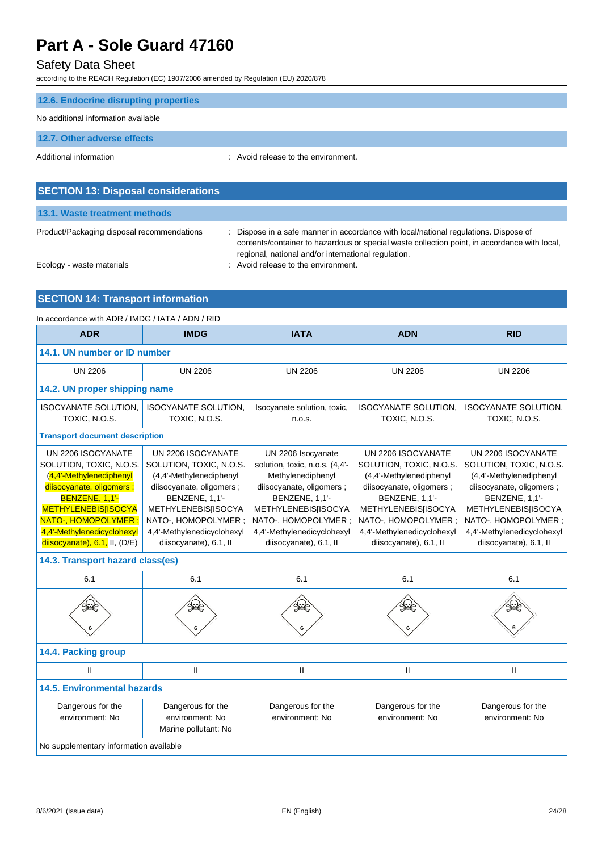### Safety Data Sheet

according to the REACH Regulation (EC) 1907/2006 amended by Regulation (EU) 2020/878

| 12.6. Endocrine disrupting properties      |                                                                                                                                                                                                                                                |
|--------------------------------------------|------------------------------------------------------------------------------------------------------------------------------------------------------------------------------------------------------------------------------------------------|
| No additional information available        |                                                                                                                                                                                                                                                |
| 12.7. Other adverse effects                |                                                                                                                                                                                                                                                |
| Additional information                     | : Avoid release to the environment.                                                                                                                                                                                                            |
|                                            |                                                                                                                                                                                                                                                |
| <b>SECTION 13: Disposal considerations</b> |                                                                                                                                                                                                                                                |
| 13.1. Waste treatment methods              |                                                                                                                                                                                                                                                |
| Product/Packaging disposal recommendations | Dispose in a safe manner in accordance with local/national regulations. Dispose of<br>÷<br>contents/container to hazardous or special waste collection point, in accordance with local,<br>regional, national and/or international regulation. |

Ecology - waste materials **Example 20** and Tecology - waste materials

### **SECTION 14: Transport information**

| In accordance with ADR / IMDG / IATA / ADN / RID                                                                                                                                                                                                                                        |                                                                                                                                                                                                                                             |                                                                                                                                                                                                                                                    |                                                                                                                                                                                                                                             |                                                                                                                                                                                                                                             |
|-----------------------------------------------------------------------------------------------------------------------------------------------------------------------------------------------------------------------------------------------------------------------------------------|---------------------------------------------------------------------------------------------------------------------------------------------------------------------------------------------------------------------------------------------|----------------------------------------------------------------------------------------------------------------------------------------------------------------------------------------------------------------------------------------------------|---------------------------------------------------------------------------------------------------------------------------------------------------------------------------------------------------------------------------------------------|---------------------------------------------------------------------------------------------------------------------------------------------------------------------------------------------------------------------------------------------|
| <b>ADR</b>                                                                                                                                                                                                                                                                              | <b>IMDG</b>                                                                                                                                                                                                                                 | <b>IATA</b>                                                                                                                                                                                                                                        | <b>ADN</b>                                                                                                                                                                                                                                  | <b>RID</b>                                                                                                                                                                                                                                  |
| 14.1. UN number or ID number                                                                                                                                                                                                                                                            |                                                                                                                                                                                                                                             |                                                                                                                                                                                                                                                    |                                                                                                                                                                                                                                             |                                                                                                                                                                                                                                             |
| <b>UN 2206</b>                                                                                                                                                                                                                                                                          | <b>UN 2206</b>                                                                                                                                                                                                                              | <b>UN 2206</b>                                                                                                                                                                                                                                     | <b>UN 2206</b>                                                                                                                                                                                                                              | <b>UN 2206</b>                                                                                                                                                                                                                              |
| 14.2. UN proper shipping name                                                                                                                                                                                                                                                           |                                                                                                                                                                                                                                             |                                                                                                                                                                                                                                                    |                                                                                                                                                                                                                                             |                                                                                                                                                                                                                                             |
| <b>ISOCYANATE SOLUTION.</b><br>TOXIC, N.O.S.                                                                                                                                                                                                                                            | <b>ISOCYANATE SOLUTION,</b><br>TOXIC, N.O.S.                                                                                                                                                                                                | Isocyanate solution, toxic,<br>n.o.s.                                                                                                                                                                                                              | <b>ISOCYANATE SOLUTION,</b><br>TOXIC, N.O.S.                                                                                                                                                                                                | <b>ISOCYANATE SOLUTION.</b><br>TOXIC, N.O.S.                                                                                                                                                                                                |
| <b>Transport document description</b>                                                                                                                                                                                                                                                   |                                                                                                                                                                                                                                             |                                                                                                                                                                                                                                                    |                                                                                                                                                                                                                                             |                                                                                                                                                                                                                                             |
| UN 2206 ISOCYANATE<br>SOLUTION, TOXIC, N.O.S.<br>(4,4'-Methylenediphenyl<br>disocyanate, oligomers;<br>BENZENE, 1,1'-<br><b>METHYLENEBIS[ISOCYA</b><br>NATO-, HOMOPOLYMER ;<br>4,4'-Methylenedicyclohexyl<br>$disocyanate)$ , 6.1, II, (D/E)<br>14.3. Transport hazard class(es)<br>6.1 | UN 2206 ISOCYANATE<br>SOLUTION, TOXIC, N.O.S.<br>(4,4'-Methylenediphenyl<br>diisocyanate, oligomers;<br><b>BENZENE, 1,1'-</b><br>METHYLENEBIS[ISOCYA<br>NATO-, HOMOPOLYMER ;<br>4,4'-Methylenedicyclohexyl<br>diisocyanate), 6.1, II<br>6.1 | UN 2206 Isocyanate<br>solution, toxic, n.o.s. (4,4'-<br>Methylenediphenyl<br>diisocyanate, oligomers;<br><b>BENZENE, 1,1'-</b><br><b>METHYLENEBIS[ISOCYA</b><br>NATO-, HOMOPOLYMER;<br>4,4'-Methylenedicyclohexyl<br>diisocyanate), 6.1, II<br>6.1 | UN 2206 ISOCYANATE<br>SOLUTION, TOXIC, N.O.S.<br>(4,4'-Methylenediphenyl<br>diisocyanate, oligomers;<br>BENZENE, 1,1'-<br><b>METHYLENEBIS[ISOCYA</b><br>NATO-, HOMOPOLYMER ;<br>4,4'-Methylenedicyclohexyl<br>diisocyanate), 6.1, II<br>6.1 | UN 2206 ISOCYANATE<br>SOLUTION, TOXIC, N.O.S.<br>(4,4'-Methylenediphenyl<br>diisocyanate, oligomers;<br>BENZENE, 1,1'-<br><b>METHYLENEBIS[ISOCYA</b><br>NATO-, HOMOPOLYMER ;<br>4,4'-Methylenedicyclohexyl<br>diisocyanate), 6.1, II<br>6.1 |
| 14.4. Packing group                                                                                                                                                                                                                                                                     |                                                                                                                                                                                                                                             |                                                                                                                                                                                                                                                    |                                                                                                                                                                                                                                             |                                                                                                                                                                                                                                             |
| $\mathbf{H}$                                                                                                                                                                                                                                                                            | $\mathbf{II}$                                                                                                                                                                                                                               | $\mathbf{II}$                                                                                                                                                                                                                                      | $\mathsf{I}$                                                                                                                                                                                                                                | Ш                                                                                                                                                                                                                                           |
| <b>14.5. Environmental hazards</b>                                                                                                                                                                                                                                                      |                                                                                                                                                                                                                                             |                                                                                                                                                                                                                                                    |                                                                                                                                                                                                                                             |                                                                                                                                                                                                                                             |
| Dangerous for the<br>environment: No                                                                                                                                                                                                                                                    | Dangerous for the<br>environment: No<br>Marine pollutant: No                                                                                                                                                                                | Dangerous for the<br>environment: No                                                                                                                                                                                                               | Dangerous for the<br>environment: No                                                                                                                                                                                                        | Dangerous for the<br>environment: No                                                                                                                                                                                                        |
| No supplementary information available                                                                                                                                                                                                                                                  |                                                                                                                                                                                                                                             |                                                                                                                                                                                                                                                    |                                                                                                                                                                                                                                             |                                                                                                                                                                                                                                             |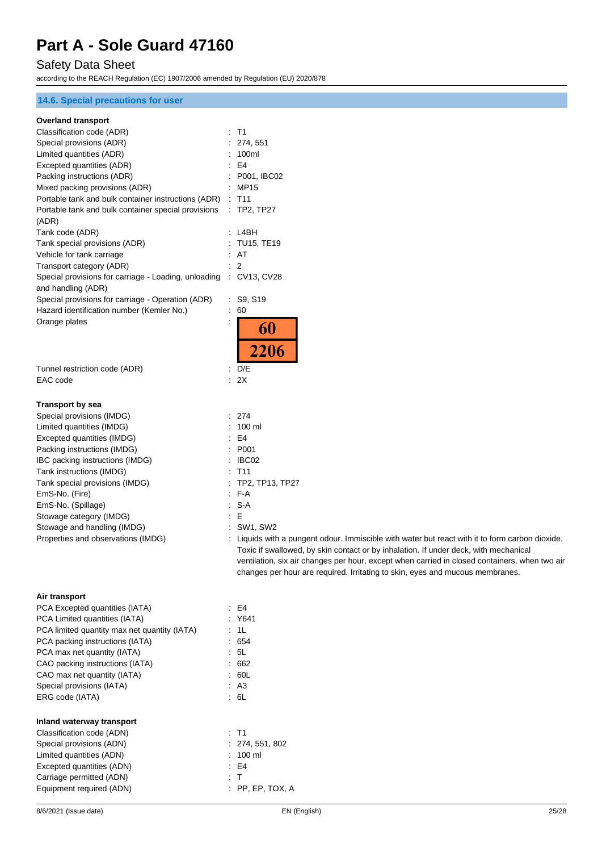### Safety Data Sheet

according to the REACH Regulation (EC) 1907/2006 amended by Regulation (EU) 2020/878

#### **14.6. Special precautions for user**

#### **Overland transport**

| Overland transport                                                |                                                                                                                                                                                         |
|-------------------------------------------------------------------|-----------------------------------------------------------------------------------------------------------------------------------------------------------------------------------------|
| Classification code (ADR)                                         | : T1                                                                                                                                                                                    |
| Special provisions (ADR)                                          | 274, 551                                                                                                                                                                                |
| Limited quantities (ADR)                                          | 100ml                                                                                                                                                                                   |
| Excepted quantities (ADR)                                         | E4                                                                                                                                                                                      |
| Packing instructions (ADR)                                        | P001, IBC02                                                                                                                                                                             |
| Mixed packing provisions (ADR)                                    | : MP15                                                                                                                                                                                  |
| Portable tank and bulk container instructions (ADR)               | $\therefore$ T11                                                                                                                                                                        |
| Portable tank and bulk container special provisions               | $\therefore$ TP2, TP27                                                                                                                                                                  |
| (ADR)                                                             |                                                                                                                                                                                         |
| Tank code (ADR)                                                   | : LABH                                                                                                                                                                                  |
| Tank special provisions (ADR)                                     | <b>TU15, TE19</b>                                                                                                                                                                       |
| Vehicle for tank carriage                                         | : AT                                                                                                                                                                                    |
| Transport category (ADR)                                          | 2                                                                                                                                                                                       |
| Special provisions for carriage - Loading, unloading : CV13, CV28 |                                                                                                                                                                                         |
| and handling (ADR)                                                |                                                                                                                                                                                         |
| Special provisions for carriage - Operation (ADR)                 | : S9, S19                                                                                                                                                                               |
| Hazard identification number (Kemler No.)                         | 60<br>÷                                                                                                                                                                                 |
| Orange plates                                                     | $\ddot{\phantom{a}}$                                                                                                                                                                    |
|                                                                   | 60                                                                                                                                                                                      |
|                                                                   |                                                                                                                                                                                         |
|                                                                   | <b>2206</b>                                                                                                                                                                             |
| Tunnel restriction code (ADR)                                     | $\therefore$ D/E                                                                                                                                                                        |
| EAC code                                                          | : 2X                                                                                                                                                                                    |
|                                                                   |                                                                                                                                                                                         |
| Transport by sea                                                  |                                                                                                                                                                                         |
| Special provisions (IMDG)                                         | : 274                                                                                                                                                                                   |
| Limited quantities (IMDG)                                         | 100 ml                                                                                                                                                                                  |
| Excepted quantities (IMDG)                                        | E4                                                                                                                                                                                      |
| Packing instructions (IMDG)                                       | P001                                                                                                                                                                                    |
| IBC packing instructions (IMDG)                                   | IBC02                                                                                                                                                                                   |
| Tank instructions (IMDG)                                          | T <sub>11</sub>                                                                                                                                                                         |
| Tank special provisions (IMDG)                                    | TP2, TP13, TP27                                                                                                                                                                         |
| EmS-No. (Fire)                                                    | F-A                                                                                                                                                                                     |
| EmS-No. (Spillage)                                                | $S-A$                                                                                                                                                                                   |
|                                                                   | E<br>÷                                                                                                                                                                                  |
| Stowage category (IMDG)<br>Stowage and handling (IMDG)            | <b>SW1, SW2</b>                                                                                                                                                                         |
| Properties and observations (IMDG)                                |                                                                                                                                                                                         |
|                                                                   | : Liquids with a pungent odour. Immiscible with water but react with it to form carbon dioxide.<br>Toxic if swallowed, by skin contact or by inhalation. If under deck, with mechanical |
|                                                                   |                                                                                                                                                                                         |
|                                                                   | ventilation, six air changes per hour, except when carried in closed containers, when two air<br>changes per hour are required. Irritating to skin, eyes and mucous membranes.          |
|                                                                   |                                                                                                                                                                                         |
|                                                                   |                                                                                                                                                                                         |
| Air transport                                                     |                                                                                                                                                                                         |

| PCA Excepted quantities (IATA)               | : E4               |
|----------------------------------------------|--------------------|
| PCA Limited quantities (IATA)                | : Y641             |
| PCA limited quantity max net quantity (IATA) | : 1L               |
| PCA packing instructions (IATA)              | : 654              |
| PCA max net quantity (IATA)                  | : 5L               |
| CAO packing instructions (IATA)              | : 662              |
| CAO max net quantity (IATA)                  | : 60L              |
| Special provisions (IATA)                    | : A3               |
| ERG code (IATA)                              | : 6L               |
| Inland waterway transport                    |                    |
| Classification code (ADN)                    | : T1               |
| Special provisions (ADN)                     | : 274, 551, 802    |
| Limited quantities (ADN)                     | $100$ ml           |
| Excepted quantities (ADN)                    | E4                 |
| Carriage permitted (ADN)                     | : T                |
| Equipment required (ADN)                     | $:$ PP, EP, TOX, A |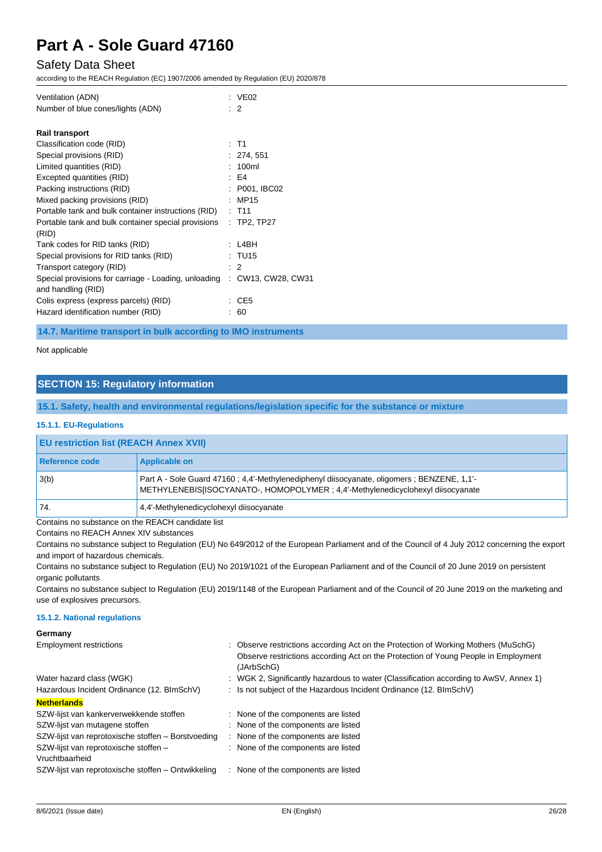### Safety Data Sheet

according to the REACH Regulation (EC) 1907/2006 amended by Regulation (EU) 2020/878

| Ventilation (ADN)<br>Number of blue cones/lights (ADN)                     | : $VEO2$<br>-2     |
|----------------------------------------------------------------------------|--------------------|
| <b>Rail transport</b>                                                      |                    |
| Classification code (RID)                                                  | : T1               |
| Special provisions (RID)                                                   | : 274.551          |
| Limited quantities (RID)                                                   | 100ml              |
| Excepted quantities (RID)                                                  | E4                 |
| Packing instructions (RID)                                                 | : P001, IBC02      |
| Mixed packing provisions (RID)                                             | MP15               |
| Portable tank and bulk container instructions (RID)                        | $:$ T11            |
| Portable tank and bulk container special provisions<br>(RID)               | $:$ TP2, TP27      |
| Tank codes for RID tanks (RID)                                             | l 4BH              |
| Special provisions for RID tanks (RID)                                     | : TU15             |
| Transport category (RID)                                                   | $\cdot$ 2          |
| Special provisions for carriage - Loading, unloading<br>and handling (RID) | : CW13, CW28, CW31 |
| Colis express (express parcels) (RID)                                      | CE <sub>5</sub>    |
| Hazard identification number (RID)                                         | 60                 |

**14.7. Maritime transport in bulk according to IMO instruments**

Not applicable

### **SECTION 15: Regulatory information**

**15.1. Safety, health and environmental regulations/legislation specific for the substance or mixture**

#### **15.1.1. EU-Regulations**

| <b>EU restriction list (REACH Annex XVII)</b> |                                                                                                                                                                                |  |
|-----------------------------------------------|--------------------------------------------------------------------------------------------------------------------------------------------------------------------------------|--|
| Reference code                                | Applicable on                                                                                                                                                                  |  |
| 3(b)                                          | Part A - Sole Guard 47160 : 4.4'-Methylenediphenyl diisocyanate, oligomers : BENZENE, 1.1'-<br>METHYLENEBIS[ISOCYANATO-, HOMOPOLYMER ; 4.4'-Methylenedicyclohexyl diisocyanate |  |
| 74.                                           | 4.4'-Methylenedicyclohexyl diisocyanate                                                                                                                                        |  |

Contains no substance on the REACH candidate list

Contains no REACH Annex XIV substances

Contains no substance subject to Regulation (EU) No 649/2012 of the European Parliament and of the Council of 4 July 2012 concerning the export and import of hazardous chemicals.

Contains no substance subject to Regulation (EU) No 2019/1021 of the European Parliament and of the Council of 20 June 2019 on persistent organic pollutants

Contains no substance subject to Regulation (EU) 2019/1148 of the European Parliament and of the Council of 20 June 2019 on the marketing and use of explosives precursors.

#### **15.1.2. National regulations**

**Germany**

| <b>Employment restrictions</b>                     | : Observe restrictions according Act on the Protection of Working Mothers (MuSchG)<br>Observe restrictions according Act on the Protection of Young People in Employment<br>(JArbSchG) |
|----------------------------------------------------|----------------------------------------------------------------------------------------------------------------------------------------------------------------------------------------|
| Water hazard class (WGK)                           | : WGK 2, Significantly hazardous to water (Classification according to AwSV, Annex 1)                                                                                                  |
| Hazardous Incident Ordinance (12. BImSchV)         | : Is not subject of the Hazardous Incident Ordinance (12. BImSchV)                                                                                                                     |
| <b>Netherlands</b>                                 |                                                                                                                                                                                        |
| SZW-lijst van kankerverwekkende stoffen            | : None of the components are listed                                                                                                                                                    |
| SZW-lijst van mutagene stoffen                     | : None of the components are listed                                                                                                                                                    |
| SZW-lijst van reprotoxische stoffen - Borstvoeding | : None of the components are listed                                                                                                                                                    |
| SZW-lijst van reprotoxische stoffen -              | : None of the components are listed                                                                                                                                                    |
| Vruchtbaarheid                                     |                                                                                                                                                                                        |
| SZW-lijst van reprotoxische stoffen – Ontwikkeling | None of the components are listed<br>÷                                                                                                                                                 |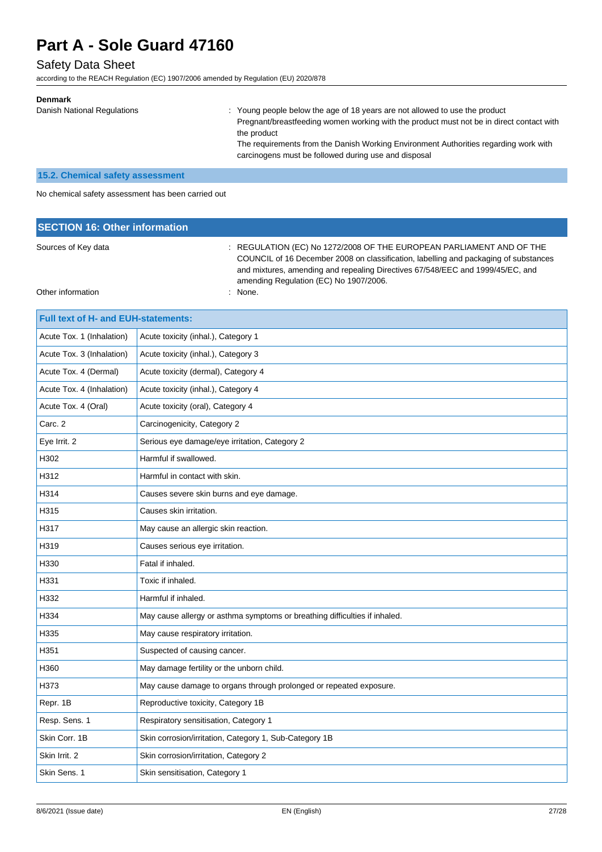### Safety Data Sheet

according to the REACH Regulation (EC) 1907/2006 amended by Regulation (EU) 2020/878

| <b>Denmark</b>              |                                                                                                                                                                                        |
|-----------------------------|----------------------------------------------------------------------------------------------------------------------------------------------------------------------------------------|
| Danish National Regulations | : Young people below the age of 18 years are not allowed to use the product<br>Pregnant/breastfeeding women working with the product must not be in direct contact with<br>the product |
|                             | The requirements from the Danish Working Environment Authorities regarding work with<br>carcinogens must be followed during use and disposal                                           |

#### **15.2. Chemical safety assessment**

No chemical safety assessment has been carried out

| <b>SECTION 16: Other information</b> |                                                                                                                                                                                                                                                                                          |
|--------------------------------------|------------------------------------------------------------------------------------------------------------------------------------------------------------------------------------------------------------------------------------------------------------------------------------------|
| Sources of Key data                  | : REGULATION (EC) No 1272/2008 OF THE EUROPEAN PARLIAMENT AND OF THE<br>COUNCIL of 16 December 2008 on classification, labelling and packaging of substances<br>and mixtures, amending and repealing Directives 67/548/EEC and 1999/45/EC, and<br>amending Regulation (EC) No 1907/2006. |
| Other information                    | : None.                                                                                                                                                                                                                                                                                  |

| Full text of H- and EUH-statements: |                                                                            |  |
|-------------------------------------|----------------------------------------------------------------------------|--|
| Acute Tox. 1 (Inhalation)           | Acute toxicity (inhal.), Category 1                                        |  |
| Acute Tox. 3 (Inhalation)           | Acute toxicity (inhal.), Category 3                                        |  |
| Acute Tox. 4 (Dermal)               | Acute toxicity (dermal), Category 4                                        |  |
| Acute Tox. 4 (Inhalation)           | Acute toxicity (inhal.), Category 4                                        |  |
| Acute Tox. 4 (Oral)                 | Acute toxicity (oral), Category 4                                          |  |
| Carc. 2                             | Carcinogenicity, Category 2                                                |  |
| Eye Irrit. 2                        | Serious eye damage/eye irritation, Category 2                              |  |
| H302                                | Harmful if swallowed.                                                      |  |
| H312                                | Harmful in contact with skin.                                              |  |
| H314                                | Causes severe skin burns and eye damage.                                   |  |
| H315                                | Causes skin irritation.                                                    |  |
| H317                                | May cause an allergic skin reaction.                                       |  |
| H319                                | Causes serious eye irritation.                                             |  |
| H330                                | Fatal if inhaled.                                                          |  |
| H331                                | Toxic if inhaled.                                                          |  |
| H332                                | Harmful if inhaled.                                                        |  |
| H334                                | May cause allergy or asthma symptoms or breathing difficulties if inhaled. |  |
| H335                                | May cause respiratory irritation.                                          |  |
| H351                                | Suspected of causing cancer.                                               |  |
| H360                                | May damage fertility or the unborn child.                                  |  |
| H373                                | May cause damage to organs through prolonged or repeated exposure.         |  |
| Repr. 1B                            | Reproductive toxicity, Category 1B                                         |  |
| Resp. Sens. 1                       | Respiratory sensitisation, Category 1                                      |  |
| Skin Corr. 1B                       | Skin corrosion/irritation, Category 1, Sub-Category 1B                     |  |
| Skin Irrit, 2                       | Skin corrosion/irritation, Category 2                                      |  |
| Skin Sens. 1                        | Skin sensitisation, Category 1                                             |  |